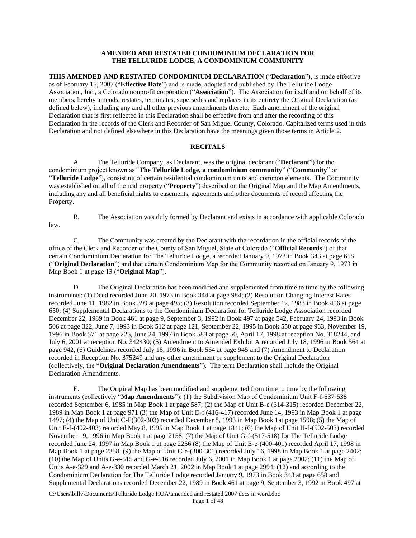#### **AMENDED AND RESTATED CONDOMINIUM DECLARATION FOR THE TELLURIDE LODGE, A CONDOMINIUM COMMUNITY**

**THIS AMENDED AND RESTATED CONDOMINIUM DECLARATION** ("**Declaration**"), is made effective as of February 15, 2007 ("**Effective Date**") and is made, adopted and published by The Telluride Lodge Association, Inc., a Colorado nonprofit corporation ("**Association**"). The Association for itself and on behalf of its members, hereby amends, restates, terminates, supersedes and replaces in its entirety the Original Declaration (as defined below), including any and all other previous amendments thereto. Each amendment of the original Declaration that is first reflected in this Declaration shall be effective from and after the recording of this Declaration in the records of the Clerk and Recorder of San Miguel County, Colorado. Capitalized terms used in this Declaration and not defined elsewhere in this Declaration have the meanings given those terms in Article 2.

## **RECITALS**

A. The Telluride Company, as Declarant, was the original declarant ("**Declarant**") for the condominium project known as "**The Telluride Lodge, a condominium community**" ("**Community**" or "**Telluride Lodge**"), consisting of certain residential condominium units and common elements. The Community was established on all of the real property ("**Property**") described on the Original Map and the Map Amendments, including any and all beneficial rights to easements, agreements and other documents of record affecting the Property.

law.

B. The Association was duly formed by Declarant and exists in accordance with applicable Colorado

C. The Community was created by the Declarant with the recordation in the official records of the office of the Clerk and Recorder of the County of San Miguel, State of Colorado ("**Official Records**") of that certain Condominium Declaration for The Telluride Lodge, a recorded January 9, 1973 in Book 343 at page 658 ("**Original Declaration**") and that certain Condominium Map for the Community recorded on January 9, 1973 in Map Book 1 at page 13 ("**Original Map**").

D. The Original Declaration has been modified and supplemented from time to time by the following instruments: (1) Deed recorded June 20, 1973 in Book 344 at page 984; (2) Resolution Changing Interest Rates recorded June 11, 1982 in Book 399 at page 495; (3) Resolution recorded September 12, 1983 in Book 406 at page 650; (4) Supplemental Declarations to the Condominium Declaration for Telluride Lodge Association recorded December 22, 1989 in Book 461 at page 9, September 3, 1992 in Book 497 at page 542, February 24, 1993 in Book 506 at page 322, June 7, 1993 in Book 512 at page 121, September 22, 1995 in Book 550 at page 963, November 19, 1996 in Book 571 at page 225, June 24, 1997 in Book 583 at page 50, April 17, 1998 at reception No. 318244, and July 6, 2001 at reception No. 342430; (5) Amendment to Amended Exhibit A recorded July 18, 1996 in Book 564 at page 942, (6) Guidelines recorded July 18, 1996 in Book 564 at page 945 and (7) Amendment to Declaration recorded in Reception No. 375249 and any other amendment or supplement to the Original Declaration (collectively, the "**Original Declaration Amendments**"). The term Declaration shall include the Original Declaration Amendments.

E. The Original Map has been modified and supplemented from time to time by the following instruments (collectively "**Map Amendments**"): (1) the Subdivision Map of Condominium Unit F-f-537-538 recorded September 6, 1985 in Map Book 1 at page 587; (2) the Map of Unit B-e (314-315) recorded December 22, 1989 in Map Book 1 at page 971 (3) the Map of Unit D-f (416-417) recorded June 14, 1993 in Map Book 1 at page 1497; (4) the Map of Unit C-F(302-303) recorded December 8, 1993 in Map Book 1at page 1598; (5) the Map of Unit E-f-(402-403) recorded May 8, 1995 in Map Book 1 at page 1841; (6) the Map of Unit H-f-(502-503) recorded November 19, 1996 in Map Book 1 at page 2158; (7) the Map of Unit G-f-(517-518) for The Telluride Lodge recorded June 24, 1997 in Map Book 1 at page 2256 (8) the Map of Unit E-e-(400-401) recorded April 17, 1998 in Map Book 1 at page 2358; (9) the Map of Unit C-e-(300-301) recorded July 16, 1998 in Map Book 1 at page 2402; (10) the Map of Units G-e-515 and G-e-516 recorded July 6, 2001 in Map Book 1 at page 2902; (11) the Map of Units A-e-329 and A-e-330 recorded March 21, 2002 in Map Book 1 at page 2994; (12) and according to the Condominium Declaration for The Telluride Lodge recorded January 9, 1973 in Book 343 at page 658 and Supplemental Declarations recorded December 22, 1989 in Book 461 at page 9, September 3, 1992 in Book 497 at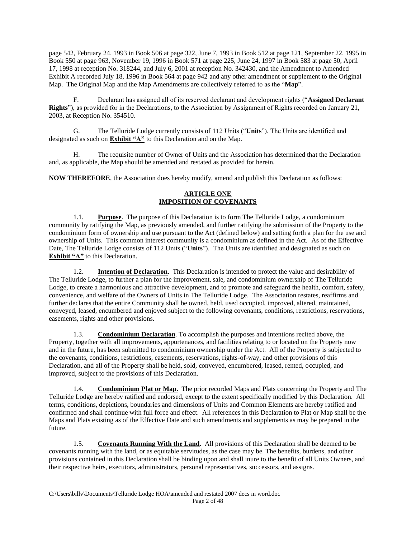page 542, February 24, 1993 in Book 506 at page 322, June 7, 1993 in Book 512 at page 121, September 22, 1995 in Book 550 at page 963, November 19, 1996 in Book 571 at page 225, June 24, 1997 in Book 583 at page 50, April 17, 1998 at reception No. 318244, and July 6, 2001 at reception No. 342430, and the Amendment to Amended Exhibit A recorded July 18, 1996 in Book 564 at page 942 and any other amendment or supplement to the Original Map. The Original Map and the Map Amendments are collectively referred to as the "**Map**".

F. Declarant has assigned all of its reserved declarant and development rights ("**Assigned Declarant Rights**"), as provided for in the Declarations, to the Association by Assignment of Rights recorded on January 21, 2003, at Reception No. 354510.

G. The Telluride Lodge currently consists of 112 Units ("**Units**"). The Units are identified and designated as such on **Exhibit "A"** to this Declaration and on the Map.

H. The requisite number of Owner of Units and the Association has determined that the Declaration and, as applicable, the Map should be amended and restated as provided for herein.

**NOW THEREFORE**, the Association does hereby modify, amend and publish this Declaration as follows:

# **ARTICLE ONE IMPOSITION OF COVENANTS**

1.1. **Purpose**. The purpose of this Declaration is to form The Telluride Lodge, a condominium community by ratifying the Map, as previously amended, and further ratifying the submission of the Property to the condominium form of ownership and use pursuant to the Act (defined below) and setting forth a plan for the use and ownership of Units. This common interest community is a condominium as defined in the Act. As of the Effective Date, The Telluride Lodge consists of 112 Units ("**Units**"). The Units are identified and designated as such on **Exhibit "A"** to this Declaration.

1.2. **Intention of Declaration**. This Declaration is intended to protect the value and desirability of The Telluride Lodge, to further a plan for the improvement, sale, and condominium ownership of The Telluride Lodge, to create a harmonious and attractive development, and to promote and safeguard the health, comfort, safety, convenience, and welfare of the Owners of Units in The Telluride Lodge. The Association restates, reaffirms and further declares that the entire Community shall be owned, held, used occupied, improved, altered, maintained, conveyed, leased, encumbered and enjoyed subject to the following covenants, conditions, restrictions, reservations, easements, rights and other provisions.

1.3. **Condominium Declaration**. To accomplish the purposes and intentions recited above, the Property, together with all improvements, appurtenances, and facilities relating to or located on the Property now and in the future, has been submitted to condominium ownership under the Act. All of the Property is subjected to the covenants, conditions, restrictions, easements, reservations, rights-of-way, and other provisions of this Declaration, and all of the Property shall be held, sold, conveyed, encumbered, leased, rented, occupied, and improved, subject to the provisions of this Declaration.

1.4. **Condominium Plat or Map.** The prior recorded Maps and Plats concerning the Property and The Telluride Lodge are hereby ratified and endorsed, except to the extent specifically modified by this Declaration. All terms, conditions, depictions, boundaries and dimensions of Units and Common Elements are hereby ratified and confirmed and shall continue with full force and effect. All references in this Declaration to Plat or Map shall be the Maps and Plats existing as of the Effective Date and such amendments and supplements as may be prepared in the future.

1.5. **Covenants Running With the Land**. All provisions of this Declaration shall be deemed to be covenants running with the land, or as equitable servitudes, as the case may be. The benefits, burdens, and other provisions contained in this Declaration shall be binding upon and shall inure to the benefit of all Units Owners, and their respective heirs, executors, administrators, personal representatives, successors, and assigns.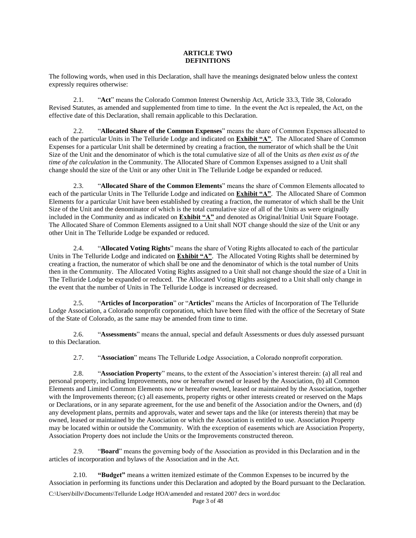### **ARTICLE TWO DEFINITIONS**

The following words, when used in this Declaration, shall have the meanings designated below unless the context expressly requires otherwise:

2.1. "**Act**" means the Colorado Common Interest Ownership Act, Article 33.3, Title 38, Colorado Revised Statutes, as amended and supplemented from time to time. In the event the Act is repealed, the Act, on the effective date of this Declaration, shall remain applicable to this Declaration.

2.2. "**Allocated Share of the Common Expenses**" means the share of Common Expenses allocated to each of the particular Units in The Telluride Lodge and indicated on **Exhibit "A"**. The Allocated Share of Common Expenses for a particular Unit shall be determined by creating a fraction, the numerator of which shall be the Unit Size of the Unit and the denominator of which is the total cumulative size of all of the Units *as then exist as of the time of the calculation* in the Community. The Allocated Share of Common Expenses assigned to a Unit shall change should the size of the Unit or any other Unit in The Telluride Lodge be expanded or reduced.

2.3. "**Allocated Share of the Common Elements**" means the share of Common Elements allocated to each of the particular Units in The Telluride Lodge and indicated on **Exhibit "A"**. The Allocated Share of Common Elements for a particular Unit have been established by creating a fraction, the numerator of which shall be the Unit Size of the Unit and the denominator of which is the total cumulative size of all of the Units as were originally included in the Community and as indicated on **Exhibit "A"** and denoted as Original/Initial Unit Square Footage. The Allocated Share of Common Elements assigned to a Unit shall NOT change should the size of the Unit or any other Unit in The Telluride Lodge be expanded or reduced.

2.4. "**Allocated Voting Rights**" means the share of Voting Rights allocated to each of the particular Units in The Telluride Lodge and indicated on **Exhibit "A"**. The Allocated Voting Rights shall be determined by creating a fraction, the numerator of which shall be one and the denominator of which is the total number of Units then in the Community. The Allocated Voting Rights assigned to a Unit shall not change should the size of a Unit in The Telluride Lodge be expanded or reduced. The Allocated Voting Rights assigned to a Unit shall only change in the event that the number of Units in The Telluride Lodge is increased or decreased.

2.5. "**Articles of Incorporation**" or "**Articles**" means the Articles of Incorporation of The Telluride Lodge Association, a Colorado nonprofit corporation, which have been filed with the office of the Secretary of State of the State of Colorado, as the same may be amended from time to time.

2.6. "**Assessments**" means the annual, special and default Assessments or dues duly assessed pursuant to this Declaration.

2.7. "**Association**" means The Telluride Lodge Association, a Colorado nonprofit corporation.

2.8. "**Association Property**" means, to the extent of the Association's interest therein: (a) all real and personal property, including Improvements, now or hereafter owned or leased by the Association, (b) all Common Elements and Limited Common Elements now or hereafter owned, leased or maintained by the Association, together with the Improvements thereon; (c) all easements, property rights or other interests created or reserved on the Maps or Declarations, or in any separate agreement, for the use and benefit of the Association and/or the Owners, and (d) any development plans, permits and approvals, water and sewer taps and the like (or interests therein) that may be owned, leased or maintained by the Association or which the Association is entitled to use. Association Property may be located within or outside the Community. With the exception of easements which are Association Property, Association Property does not include the Units or the Improvements constructed thereon.

2.9. "**Board**" means the governing body of the Association as provided in this Declaration and in the articles of incorporation and bylaws of the Association and in the Act.

2.10. **"Budget"** means a written itemized estimate of the Common Expenses to be incurred by the Association in performing its functions under this Declaration and adopted by the Board pursuant to the Declaration.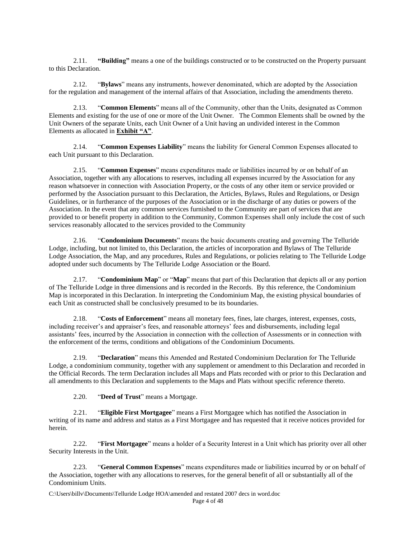2.11. **"Building"** means a one of the buildings constructed or to be constructed on the Property pursuant to this Declaration.

2.12. "**Bylaws**" means any instruments, however denominated, which are adopted by the Association for the regulation and management of the internal affairs of that Association, including the amendments thereto.

2.13. "**Common Elements**" means all of the Community, other than the Units, designated as Common Elements and existing for the use of one or more of the Unit Owner. The Common Elements shall be owned by the Unit Owners of the separate Units, each Unit Owner of a Unit having an undivided interest in the Common Elements as allocated in **Exhibit "A"**.

2.14. "**Common Expenses Liability**" means the liability for General Common Expenses allocated to each Unit pursuant to this Declaration.

2.15. "**Common Expenses**" means expenditures made or liabilities incurred by or on behalf of an Association, together with any allocations to reserves, including all expenses incurred by the Association for any reason whatsoever in connection with Association Property, or the costs of any other item or service provided or performed by the Association pursuant to this Declaration, the Articles, Bylaws, Rules and Regulations, or Design Guidelines, or in furtherance of the purposes of the Association or in the discharge of any duties or powers of the Association. In the event that any common services furnished to the Community are part of services that are provided to or benefit property in addition to the Community, Common Expenses shall only include the cost of such services reasonably allocated to the services provided to the Community

2.16. "**Condominium Documents**" means the basic documents creating and governing The Telluride Lodge, including, but not limited to, this Declaration, the articles of incorporation and Bylaws of The Telluride Lodge Association, the Map, and any procedures, Rules and Regulations, or policies relating to The Telluride Lodge adopted under such documents by The Telluride Lodge Association or the Board.

2.17. "**Condominium Map**" or "**Map**" means that part of this Declaration that depicts all or any portion of The Telluride Lodge in three dimensions and is recorded in the Records. By this reference, the Condominium Map is incorporated in this Declaration. In interpreting the Condominium Map, the existing physical boundaries of each Unit as constructed shall be conclusively presumed to be its boundaries.

2.18. "**Costs of Enforcement**" means all monetary fees, fines, late charges, interest, expenses, costs, including receiver's and appraiser's fees, and reasonable attorneys' fees and disbursements, including legal assistants' fees, incurred by the Association in connection with the collection of Assessments or in connection with the enforcement of the terms, conditions and obligations of the Condominium Documents.

2.19. "**Declaration**" means this Amended and Restated Condominium Declaration for The Telluride Lodge, a condominium community, together with any supplement or amendment to this Declaration and recorded in the Official Records. The term Declaration includes all Maps and Plats recorded with or prior to this Declaration and all amendments to this Declaration and supplements to the Maps and Plats without specific reference thereto.

2.20. "**Deed of Trust**" means a Mortgage.

2.21. "**Eligible First Mortgagee**" means a First Mortgagee which has notified the Association in writing of its name and address and status as a First Mortgagee and has requested that it receive notices provided for herein.

2.22. "**First Mortgagee**" means a holder of a Security Interest in a Unit which has priority over all other Security Interests in the Unit.

2.23. "**General Common Expenses**" means expenditures made or liabilities incurred by or on behalf of the Association, together with any allocations to reserves, for the general benefit of all or substantially all of the Condominium Units.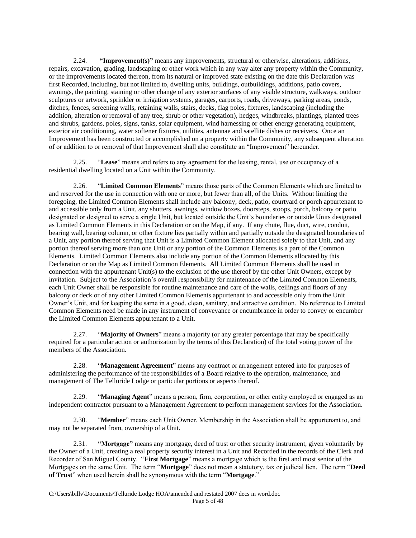2.24. **"Improvement(s)"** means any improvements, structural or otherwise, alterations, additions, repairs, excavation, grading, landscaping or other work which in any way alter any property within the Community, or the improvements located thereon, from its natural or improved state existing on the date this Declaration was first Recorded, including, but not limited to, dwelling units, buildings, outbuildings, additions, patio covers, awnings, the painting, staining or other change of any exterior surfaces of any visible structure, walkways, outdoor sculptures or artwork, sprinkler or irrigation systems, garages, carports, roads, driveways, parking areas, ponds, ditches, fences, screening walls, retaining walls, stairs, decks, flag poles, fixtures, landscaping (including the addition, alteration or removal of any tree, shrub or other vegetation), hedges, windbreaks, plantings, planted trees and shrubs, gardens, poles, signs, tanks, solar equipment, wind harnessing or other energy generating equipment, exterior air conditioning, water softener fixtures, utilities, antennae and satellite dishes or receivers. Once an Improvement has been constructed or accomplished on a property within the Community, any subsequent alteration of or addition to or removal of that Improvement shall also constitute an "Improvement" hereunder.

2.25. "**Lease**" means and refers to any agreement for the leasing, rental, use or occupancy of a residential dwelling located on a Unit within the Community.

2.26. "**Limited Common Elements**" means those parts of the Common Elements which are limited to and reserved for the use in connection with one or more, but fewer than all, of the Units. Without limiting the foregoing, the Limited Common Elements shall include any balcony, deck, patio, courtyard or porch appurtenant to and accessible only from a Unit, any shutters, awnings, window boxes, doorsteps, stoops, porch, balcony or patio designated or designed to serve a single Unit, but located outside the Unit's boundaries or outside Units designated as Limited Common Elements in this Declaration or on the Map, if any. If any chute, flue, duct, wire, conduit, bearing wall, bearing column, or other fixture lies partially within and partially outside the designated boundaries of a Unit, any portion thereof serving that Unit is a Limited Common Element allocated solely to that Unit, and any portion thereof serving more than one Unit or any portion of the Common Elements is a part of the Common Elements. Limited Common Elements also include any portion of the Common Elements allocated by this Declaration or on the Map as Limited Common Elements. All Limited Common Elements shall be used in connection with the appurtenant Unit(s) to the exclusion of the use thereof by the other Unit Owners, except by invitation. Subject to the Association's overall responsibility for maintenance of the Limited Common Elements, each Unit Owner shall be responsible for routine maintenance and care of the walls, ceilings and floors of any balcony or deck or of any other Limited Common Elements appurtenant to and accessible only from the Unit Owner's Unit, and for keeping the same in a good, clean, sanitary, and attractive condition. No reference to Limited Common Elements need be made in any instrument of conveyance or encumbrance in order to convey or encumber the Limited Common Elements appurtenant to a Unit.

2.27. "**Majority of Owners**" means a majority (or any greater percentage that may be specifically required for a particular action or authorization by the terms of this Declaration) of the total voting power of the members of the Association.

2.28. "**Management Agreement**" means any contract or arrangement entered into for purposes of administering the performance of the responsibilities of a Board relative to the operation, maintenance, and management of The Telluride Lodge or particular portions or aspects thereof.

2.29. "**Managing Agent**" means a person, firm, corporation, or other entity employed or engaged as an independent contractor pursuant to a Management Agreement to perform management services for the Association.

2.30. "**Member**" means each Unit Owner. Membership in the Association shall be appurtenant to, and may not be separated from, ownership of a Unit.

2.31. **"Mortgage"** means any mortgage, deed of trust or other security instrument, given voluntarily by the Owner of a Unit, creating a real property security interest in a Unit and Recorded in the records of the Clerk and Recorder of San Miguel County. "**First Mortgage**" means a mortgage which is the first and most senior of the Mortgages on the same Unit. The term "**Mortgage**" does not mean a statutory, tax or judicial lien. The term "**Deed of Trust**" when used herein shall be synonymous with the term "**Mortgage**."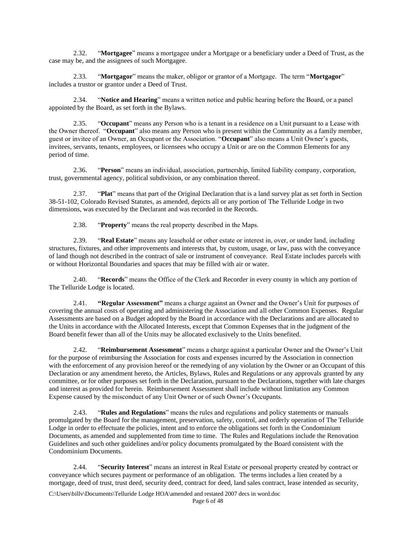2.32. "**Mortgagee**" means a mortgagee under a Mortgage or a beneficiary under a Deed of Trust, as the case may be, and the assignees of such Mortgagee.

2.33. "**Mortgagor**" means the maker, obligor or grantor of a Mortgage. The term "**Mortgagor**" includes a trustor or grantor under a Deed of Trust.

2.34. "**Notice and Hearing**" means a written notice and public hearing before the Board, or a panel appointed by the Board, as set forth in the Bylaws.

2.35. "**Occupant**" means any Person who is a tenant in a residence on a Unit pursuant to a Lease with the Owner thereof. "**Occupant**" also means any Person who is present within the Community as a family member, guest or invitee of an Owner, an Occupant or the Association. "**Occupant**" also means a Unit Owner's guests, invitees, servants, tenants, employees, or licensees who occupy a Unit or are on the Common Elements for any period of time.

2.36. "**Person**" means an individual, association, partnership, limited liability company, corporation, trust, governmental agency, political subdivision, or any combination thereof.

2.37. "**Plat**" means that part of the Original Declaration that is a land survey plat as set forth in Section 38-51-102, Colorado Revised Statutes, as amended, depicts all or any portion of The Telluride Lodge in two dimensions, was executed by the Declarant and was recorded in the Records.

2.38. "**Property**" means the real property described in the Maps.

2.39. "**Real Estate**" means any leasehold or other estate or interest in, over, or under land, including structures, fixtures, and other improvements and interests that, by custom, usage, or law, pass with the conveyance of land though not described in the contract of sale or instrument of conveyance. Real Estate includes parcels with or without Horizontal Boundaries and spaces that may be filled with air or water.

2.40. "**Records**" means the Office of the Clerk and Recorder in every county in which any portion of The Telluride Lodge is located.

2.41. **"Regular Assessment"** means a charge against an Owner and the Owner's Unit for purposes of covering the annual costs of operating and administering the Association and all other Common Expenses. Regular Assessments are based on a Budget adopted by the Board in accordance with the Declarations and are allocated to the Units in accordance with the Allocated Interests, except that Common Expenses that in the judgment of the Board benefit fewer than all of the Units may be allocated exclusively to the Units benefited.

2.42. "**Reimbursement Assessment**" means a charge against a particular Owner and the Owner's Unit for the purpose of reimbursing the Association for costs and expenses incurred by the Association in connection with the enforcement of any provision hereof or the remedying of any violation by the Owner or an Occupant of this Declaration or any amendment hereto, the Articles, Bylaws, Rules and Regulations or any approvals granted by any committee, or for other purposes set forth in the Declaration, pursuant to the Declarations, together with late charges and interest as provided for herein. Reimbursement Assessment shall include without limitation any Common Expense caused by the misconduct of any Unit Owner or of such Owner's Occupants.

2.43. "**Rules and Regulations**" means the rules and regulations and policy statements or manuals promulgated by the Board for the management, preservation, safety, control, and orderly operation of The Telluride Lodge in order to effectuate the policies, intent and to enforce the obligations set forth in the Condominium Documents, as amended and supplemented from time to time. The Rules and Regulations include the Renovation Guidelines and such other guidelines and/or policy documents promulgated by the Board consistent with the Condominium Documents.

2.44. "**Security Interest**" means an interest in Real Estate or personal property created by contract or conveyance which secures payment or performance of an obligation. The terms includes a lien created by a mortgage, deed of trust, trust deed, security deed, contract for deed, land sales contract, lease intended as security,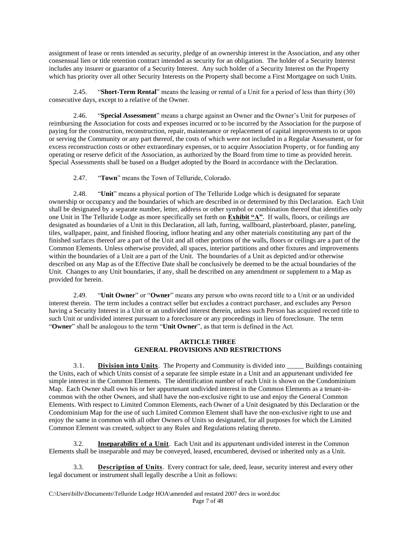assignment of lease or rents intended as security, pledge of an ownership interest in the Association, and any other consensual lien or title retention contract intended as security for an obligation. The holder of a Security Interest includes any insurer or guarantor of a Security Interest. Any such holder of a Security Interest on the Property which has priority over all other Security Interests on the Property shall become a First Mortgagee on such Units.

2.45. "**Short-Term Rental**" means the leasing or rental of a Unit for a period of less than thirty (30) consecutive days, except to a relative of the Owner.

2.46. "**Special Assessment**" means a charge against an Owner and the Owner's Unit for purposes of reimbursing the Association for costs and expenses incurred or to be incurred by the Association for the purpose of paying for the construction, reconstruction, repair, maintenance or replacement of capital improvements to or upon or serving the Community or any part thereof, the costs of which were not included in a Regular Assessment, or for excess reconstruction costs or other extraordinary expenses, or to acquire Association Property, or for funding any operating or reserve deficit of the Association, as authorized by the Board from time to time as provided herein. Special Assessments shall be based on a Budget adopted by the Board in accordance with the Declaration.

2.47. "**Town**" means the Town of Telluride, Colorado.

2.48. "**Unit**" means a physical portion of The Telluride Lodge which is designated for separate ownership or occupancy and the boundaries of which are described in or determined by this Declaration. Each Unit shall be designated by a separate number, letter, address or other symbol or combination thereof that identifies only one Unit in The Telluride Lodge as more specifically set forth on **Exhibit "A"**. If walls, floors, or ceilings are designated as boundaries of a Unit in this Declaration, all lath, furring, wallboard, plasterboard, plaster, paneling, tiles, wallpaper, paint, and finished flooring, infloor heating and any other materials constituting any part of the finished surfaces thereof are a part of the Unit and all other portions of the walls, floors or ceilings are a part of the Common Elements. Unless otherwise provided, all spaces, interior partitions and other fixtures and improvements within the boundaries of a Unit are a part of the Unit. The boundaries of a Unit as depicted and/or otherwise described on any Map as of the Effective Date shall be conclusively be deemed to be the actual boundaries of the Unit. Changes to any Unit boundaries, if any, shall be described on any amendment or supplement to a Map as provided for herein.

2.49. "**Unit Owner**" or "**Owner**" means any person who owns record title to a Unit or an undivided interest therein. The term includes a contract seller but excludes a contract purchaser, and excludes any Person having a Security Interest in a Unit or an undivided interest therein, unless such Person has acquired record title to such Unit or undivided interest pursuant to a foreclosure or any proceedings in lieu of foreclosure. The term "**Owner**" shall be analogous to the term "**Unit Owner**", as that term is defined in the Act.

## **ARTICLE THREE GENERAL PROVISIONS AND RESTRICTIONS**

3.1. **Division into Units**. The Property and Community is divided into \_\_\_\_\_ Buildings containing the Units, each of which Units consist of a separate fee simple estate in a Unit and an appurtenant undivided fee simple interest in the Common Elements. The identification number of each Unit is shown on the Condominium Map. Each Owner shall own his or her appurtenant undivided interest in the Common Elements as a tenant-incommon with the other Owners, and shall have the non-exclusive right to use and enjoy the General Common Elements. With respect to Limited Common Elements, each Owner of a Unit designated by this Declaration or the Condominium Map for the use of such Limited Common Element shall have the non-exclusive right to use and enjoy the same in common with all other Owners of Units so designated, for all purposes for which the Limited Common Element was created, subject to any Rules and Regulations relating thereto.

3.2. **Inseparability of a Unit**. Each Unit and its appurtenant undivided interest in the Common Elements shall be inseparable and may be conveyed, leased, encumbered, devised or inherited only as a Unit.

3.3. **Description of Units**. Every contract for sale, deed, lease, security interest and every other legal document or instrument shall legally describe a Unit as follows: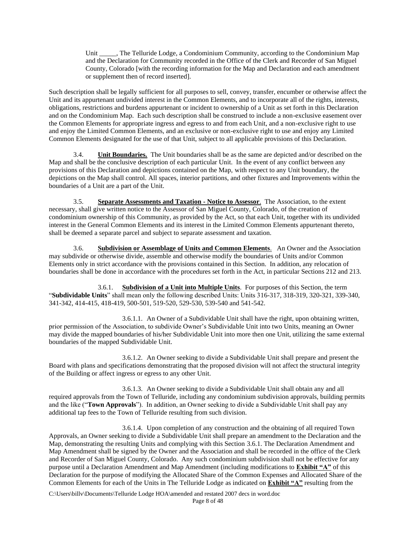Unit \_\_\_\_\_, The Telluride Lodge, a Condominium Community, according to the Condominium Map and the Declaration for Community recorded in the Office of the Clerk and Recorder of San Miguel County, Colorado [with the recording information for the Map and Declaration and each amendment or supplement then of record inserted].

Such description shall be legally sufficient for all purposes to sell, convey, transfer, encumber or otherwise affect the Unit and its appurtenant undivided interest in the Common Elements, and to incorporate all of the rights, interests, obligations, restrictions and burdens appurtenant or incident to ownership of a Unit as set forth in this Declaration and on the Condominium Map. Each such description shall be construed to include a non-exclusive easement over the Common Elements for appropriate ingress and egress to and from each Unit, and a non-exclusive right to use and enjoy the Limited Common Elements, and an exclusive or non-exclusive right to use and enjoy any Limited Common Elements designated for the use of that Unit, subject to all applicable provisions of this Declaration.

3.4. **Unit Boundaries.** The Unit boundaries shall be as the same are depicted and/or described on the Map and shall be the conclusive description of each particular Unit. In the event of any conflict between any provisions of this Declaration and depictions contained on the Map, with respect to any Unit boundary, the depictions on the Map shall control. All spaces, interior partitions, and other fixtures and Improvements within the boundaries of a Unit are a part of the Unit.

3.5. **Separate Assessments and Taxation - Notice to Assessor**. The Association, to the extent necessary, shall give written notice to the Assessor of San Miguel County, Colorado, of the creation of condominium ownership of this Community, as provided by the Act, so that each Unit, together with its undivided interest in the General Common Elements and its interest in the Limited Common Elements appurtenant thereto, shall be deemed a separate parcel and subject to separate assessment and taxation.

3.6. **Subdivision or Assemblage of Units and Common Elements**. An Owner and the Association may subdivide or otherwise divide, assemble and otherwise modify the boundaries of Units and/or Common Elements only in strict accordance with the provisions contained in this Section. In addition, any relocation of boundaries shall be done in accordance with the procedures set forth in the Act, in particular Sections 212 and 213.

3.6.1. **Subdivision of a Unit into Multiple Units**. For purposes of this Section, the term "**Subdividable Units**" shall mean only the following described Units: Units 316-317, 318-319, 320-321, 339-340, 341-342, 414-415, 418-419, 500-501, 519-520, 529-530, 539-540 and 541-542.

3.6.1.1. An Owner of a Subdividable Unit shall have the right, upon obtaining written, prior permission of the Association, to subdivide Owner's Subdividable Unit into two Units, meaning an Owner may divide the mapped boundaries of his/her Subdividable Unit into more then one Unit, utilizing the same external boundaries of the mapped Subdividable Unit.

3.6.1.2. An Owner seeking to divide a Subdividable Unit shall prepare and present the Board with plans and specifications demonstrating that the proposed division will not affect the structural integrity of the Building or affect ingress or egress to any other Unit.

3.6.1.3. An Owner seeking to divide a Subdividable Unit shall obtain any and all required approvals from the Town of Telluride, including any condominium subdivision approvals, building permits and the like ("**Town Approvals**"). In addition, an Owner seeking to divide a Subdividable Unit shall pay any additional tap fees to the Town of Telluride resulting from such division.

3.6.1.4. Upon completion of any construction and the obtaining of all required Town Approvals, an Owner seeking to divide a Subdividable Unit shall prepare an amendment to the Declaration and the Map, demonstrating the resulting Units and complying with this Section 3.6.1. The Declaration Amendment and Map Amendment shall be signed by the Owner and the Association and shall be recorded in the office of the Clerk and Recorder of San Miguel County, Colorado. Any such condominium subdivision shall not be effective for any purpose until a Declaration Amendment and Map Amendment (including modifications to **Exhibit "A"** of this Declaration for the purpose of modifying the Allocated Share of the Common Expenses and Allocated Share of the Common Elements for each of the Units in The Telluride Lodge as indicated on **Exhibit "A"** resulting from the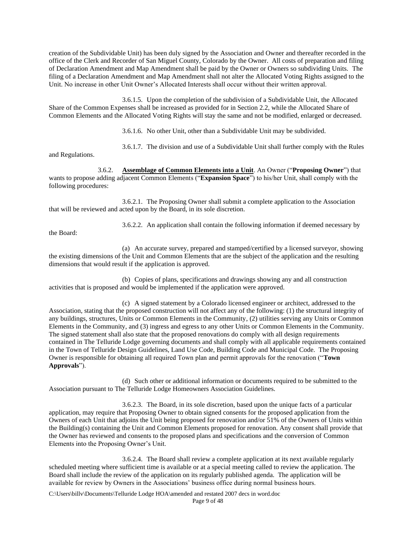creation of the Subdividable Unit) has been duly signed by the Association and Owner and thereafter recorded in the office of the Clerk and Recorder of San Miguel County, Colorado by the Owner. All costs of preparation and filing of Declaration Amendment and Map Amendment shall be paid by the Owner or Owners so subdividing Units. The filing of a Declaration Amendment and Map Amendment shall not alter the Allocated Voting Rights assigned to the Unit. No increase in other Unit Owner's Allocated Interests shall occur without their written approval.

3.6.1.5. Upon the completion of the subdivision of a Subdividable Unit, the Allocated Share of the Common Expenses shall be increased as provided for in Section 2.2, while the Allocated Share of Common Elements and the Allocated Voting Rights will stay the same and not be modified, enlarged or decreased.

3.6.1.6. No other Unit, other than a Subdividable Unit may be subdivided.

and Regulations.

3.6.1.7. The division and use of a Subdividable Unit shall further comply with the Rules

3.6.2. **Assemblage of Common Elements into a Unit**. An Owner ("**Proposing Owner**") that wants to propose adding adjacent Common Elements ("**Expansion Space**") to his/her Unit, shall comply with the following procedures:

3.6.2.1. The Proposing Owner shall submit a complete application to the Association that will be reviewed and acted upon by the Board, in its sole discretion.

the Board:

3.6.2.2. An application shall contain the following information if deemed necessary by

(a) An accurate survey, prepared and stamped/certified by a licensed surveyor, showing the existing dimensions of the Unit and Common Elements that are the subject of the application and the resulting dimensions that would result if the application is approved.

(b) Copies of plans, specifications and drawings showing any and all construction activities that is proposed and would be implemented if the application were approved.

(c) A signed statement by a Colorado licensed engineer or architect, addressed to the Association, stating that the proposed construction will not affect any of the following: (1) the structural integrity of any buildings, structures, Units or Common Elements in the Community, (2) utilities serving any Units or Common Elements in the Community, and (3) ingress and egress to any other Units or Common Elements in the Community. The signed statement shall also state that the proposed renovations do comply with all design requirements contained in The Telluride Lodge governing documents and shall comply with all applicable requirements contained in the Town of Telluride Design Guidelines, Land Use Code, Building Code and Municipal Code. The Proposing Owner is responsible for obtaining all required Town plan and permit approvals for the renovation ("**Town Approvals**").

(d) Such other or additional information or documents required to be submitted to the Association pursuant to The Telluride Lodge Homeowners Association Guidelines.

3.6.2.3. The Board, in its sole discretion, based upon the unique facts of a particular application, may require that Proposing Owner to obtain signed consents for the proposed application from the Owners of each Unit that adjoins the Unit being proposed for renovation and/or 51% of the Owners of Units within the Building(s) containing the Unit and Common Elements proposed for renovation. Any consent shall provide that the Owner has reviewed and consents to the proposed plans and specifications and the conversion of Common Elements into the Proposing Owner's Unit.

3.6.2.4. The Board shall review a complete application at its next available regularly scheduled meeting where sufficient time is available or at a special meeting called to review the application. The Board shall include the review of the application on its regularly published agenda. The application will be available for review by Owners in the Associations' business office during normal business hours.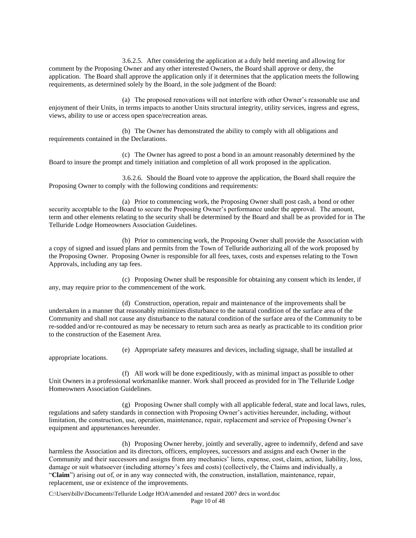3.6.2.5. After considering the application at a duly held meeting and allowing for comment by the Proposing Owner and any other interested Owners, the Board shall approve or deny, the application. The Board shall approve the application only if it determines that the application meets the following requirements, as determined solely by the Board, in the sole judgment of the Board:

(a) The proposed renovations will not interfere with other Owner's reasonable use and enjoyment of their Units, in terms impacts to another Units structural integrity, utility services, ingress and egress, views, ability to use or access open space/recreation areas.

(b) The Owner has demonstrated the ability to comply with all obligations and requirements contained in the Declarations.

(c) The Owner has agreed to post a bond in an amount reasonably determined by the Board to insure the prompt and timely initiation and completion of all work proposed in the application.

3.6.2.6. Should the Board vote to approve the application, the Board shall require the Proposing Owner to comply with the following conditions and requirements:

(a) Prior to commencing work, the Proposing Owner shall post cash, a bond or other security acceptable to the Board to secure the Proposing Owner's performance under the approval. The amount, term and other elements relating to the security shall be determined by the Board and shall be as provided for in The Telluride Lodge Homeowners Association Guidelines.

(b) Prior to commencing work, the Proposing Owner shall provide the Association with a copy of signed and issued plans and permits from the Town of Telluride authorizing all of the work proposed by the Proposing Owner. Proposing Owner is responsible for all fees, taxes, costs and expenses relating to the Town Approvals, including any tap fees.

(c) Proposing Owner shall be responsible for obtaining any consent which its lender, if any, may require prior to the commencement of the work.

(d) Construction, operation, repair and maintenance of the improvements shall be undertaken in a manner that reasonably minimizes disturbance to the natural condition of the surface area of the Community and shall not cause any disturbance to the natural condition of the surface area of the Community to be re-sodded and/or re-contoured as may be necessary to return such area as nearly as practicable to its condition prior to the construction of the Easement Area.

appropriate locations.

(e) Appropriate safety measures and devices, including signage, shall be installed at

(f) All work will be done expeditiously, with as minimal impact as possible to other Unit Owners in a professional workmanlike manner. Work shall proceed as provided for in The Telluride Lodge Homeowners Association Guidelines.

(g) Proposing Owner shall comply with all applicable federal, state and local laws, rules, regulations and safety standards in connection with Proposing Owner's activities hereunder, including, without limitation, the construction, use, operation, maintenance, repair, replacement and service of Proposing Owner's equipment and appurtenances hereunder.

(h) Proposing Owner hereby, jointly and severally, agree to indemnify, defend and save harmless the Association and its directors, officers, employees, successors and assigns and each Owner in the Community and their successors and assigns from any mechanics' liens, expense, cost, claim, action, liability, loss, damage or suit whatsoever (including attorney's fees and costs) (collectively, the Claims and individually, a "**Claim**") arising out of, or in any way connected with, the construction, installation, maintenance, repair, replacement, use or existence of the improvements.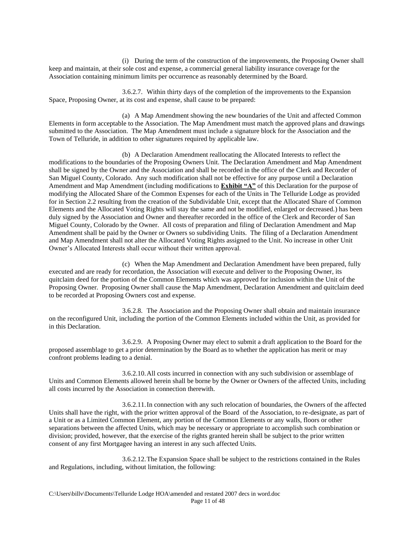(i) During the term of the construction of the improvements, the Proposing Owner shall keep and maintain, at their sole cost and expense, a commercial general liability insurance coverage for the Association containing minimum limits per occurrence as reasonably determined by the Board.

3.6.2.7. Within thirty days of the completion of the improvements to the Expansion Space, Proposing Owner, at its cost and expense, shall cause to be prepared:

(a) A Map Amendment showing the new boundaries of the Unit and affected Common Elements in form acceptable to the Association. The Map Amendment must match the approved plans and drawings submitted to the Association. The Map Amendment must include a signature block for the Association and the Town of Telluride, in addition to other signatures required by applicable law.

(b) A Declaration Amendment reallocating the Allocated Interests to reflect the modifications to the boundaries of the Proposing Owners Unit. The Declaration Amendment and Map Amendment shall be signed by the Owner and the Association and shall be recorded in the office of the Clerk and Recorder of San Miguel County, Colorado. Any such modification shall not be effective for any purpose until a Declaration Amendment and Map Amendment (including modifications to **Exhibit "A"** of this Declaration for the purpose of modifying the Allocated Share of the Common Expenses for each of the Units in The Telluride Lodge as provided for in Section 2.2 resulting from the creation of the Subdividable Unit, except that the Allocated Share of Common Elements and the Allocated Voting Rights will stay the same and not be modified, enlarged or decreased.) has been duly signed by the Association and Owner and thereafter recorded in the office of the Clerk and Recorder of San Miguel County, Colorado by the Owner. All costs of preparation and filing of Declaration Amendment and Map Amendment shall be paid by the Owner or Owners so subdividing Units. The filing of a Declaration Amendment and Map Amendment shall not alter the Allocated Voting Rights assigned to the Unit. No increase in other Unit Owner's Allocated Interests shall occur without their written approval.

(c) When the Map Amendment and Declaration Amendment have been prepared, fully executed and are ready for recordation, the Association will execute and deliver to the Proposing Owner, its quitclaim deed for the portion of the Common Elements which was approved for inclusion within the Unit of the Proposing Owner. Proposing Owner shall cause the Map Amendment, Declaration Amendment and quitclaim deed to be recorded at Proposing Owners cost and expense.

3.6.2.8. The Association and the Proposing Owner shall obtain and maintain insurance on the reconfigured Unit, including the portion of the Common Elements included within the Unit, as provided for in this Declaration.

3.6.2.9. A Proposing Owner may elect to submit a draft application to the Board for the proposed assemblage to get a prior determination by the Board as to whether the application has merit or may confront problems leading to a denial.

3.6.2.10.All costs incurred in connection with any such subdivision or assemblage of Units and Common Elements allowed herein shall be borne by the Owner or Owners of the affected Units, including all costs incurred by the Association in connection therewith.

3.6.2.11.In connection with any such relocation of boundaries, the Owners of the affected Units shall have the right, with the prior written approval of the Board of the Association, to re-designate, as part of a Unit or as a Limited Common Element, any portion of the Common Elements or any walls, floors or other separations between the affected Units, which may be necessary or appropriate to accomplish such combination or division; provided, however, that the exercise of the rights granted herein shall be subject to the prior written consent of any first Mortgagee having an interest in any such affected Units.

3.6.2.12.The Expansion Space shall be subject to the restrictions contained in the Rules and Regulations, including, without limitation, the following: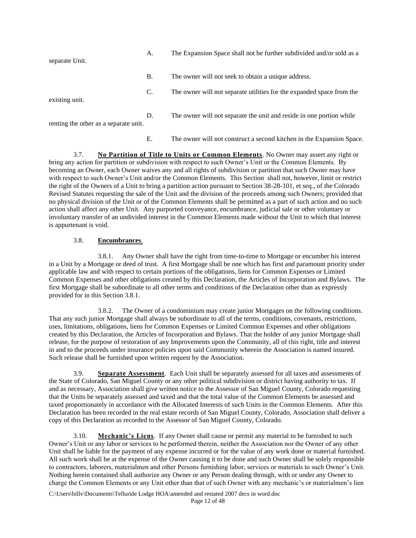| separate Unit.                        | А. | The Expansion Space shall not be further subdivided and/or sold as a  |
|---------------------------------------|----|-----------------------------------------------------------------------|
|                                       | Β. | The owner will not seek to obtain a unique address.                   |
| existing unit.                        | C. | The owner will not separate utilities for the expanded space from the |
| renting the other as a separate unit. | D. | The owner will not separate the unit and reside in one portion while  |

E. The owner will not construct a second kitchen in the Expansion Space.

3.7. **No Partition of Title to Units or Common Elements**. No Owner may assert any right or bring any action for partition or subdivision with respect to such Owner's Unit or the Common Elements. By becoming an Owner, each Owner waives any and all rights of subdivision or partition that such Owner may have with respect to such Owner's Unit and/or the Common Elements. This Section shall not, however, limit or restrict the right of the Owners of a Unit to bring a partition action pursuant to Section 38-28-101, et seq., of the Colorado Revised Statutes requesting the sale of the Unit and the division of the proceeds among such Owners; provided that no physical division of the Unit or of the Common Elements shall be permitted as a part of such action and no such action shall affect any other Unit. Any purported conveyance, encumbrance, judicial sale or other voluntary or involuntary transfer of an undivided interest in the Common Elements made without the Unit to which that interest is appurtenant is void.

# 3.8. **Encumbrances**.

3.8.1. Any Owner shall have the right from time-to-time to Mortgage or encumber his interest in a Unit by a Mortgage or deed of trust. A first Mortgage shall be one which has first and paramount priority under applicable law and with respect to certain portions of the obligations, liens for Common Expenses or Limited Common Expenses and other obligations created by this Declaration, the Articles of Incorporation and Bylaws. The first Mortgage shall be subordinate to all other terms and conditions of the Declaration other than as expressly provided for in this Section 3.8.1.

3.8.2. The Owner of a condominium may create junior Mortgages on the following conditions. That any such junior Mortgage shall always be subordinate to all of the terms, conditions, covenants, restrictions, uses, limitations, obligations, liens for Common Expenses or Limited Common Expenses and other obligations created by this Declaration, the Articles of Incorporation and Bylaws. That the holder of any junior Mortgage shall release, for the purpose of restoration of any Improvements upon the Community, all of this right, title and interest in and to the proceeds under insurance policies upon said Community wherein the Association is named insured. Such release shall be furnished upon written request by the Association.

3.9. **Separate Assessment**. Each Unit shall be separately assessed for all taxes and assessments of the State of Colorado, San Miguel County or any other political subdivision or district having authority to tax. If and as necessary, Association shall give written notice to the Assessor of San Miguel County, Colorado requesting that the Units be separately assessed and taxed and that the total value of the Common Elements be assessed and taxed proportionately in accordance with the Allocated Interests of such Units in the Common Elements. After this Declaration has been recorded in the real estate records of San Miguel County, Colorado, Association shall deliver a copy of this Declaration as recorded to the Assessor of San Miguel County, Colorado.

3.10. **Mechanic's Liens**. If any Owner shall cause or permit any material to be furnished to such Owner's Unit or any labor or services to be performed therein, neither the Association nor the Owner of any other Unit shall be liable for the payment of any expense incurred or for the value of any work done or material furnished. All such work shall be at the expense of the Owner causing it to be done and such Owner shall be solely responsible to contractors, laborers, materialmen and other Persons furnishing labor, services or materials to such Owner's Unit. Nothing herein contained shall authorize any Owner or any Person dealing through, with or under any Owner to charge the Common Elements or any Unit other than that of such Owner with any mechanic's or materialmen's lien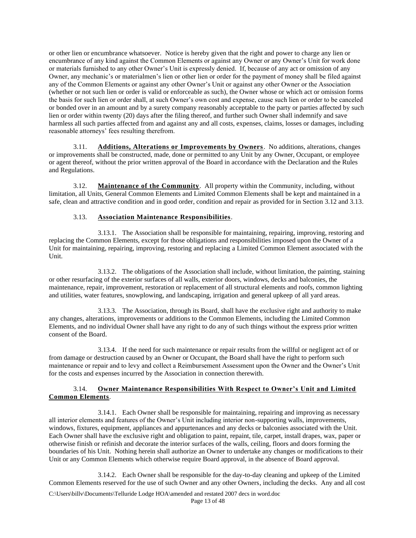or other lien or encumbrance whatsoever. Notice is hereby given that the right and power to charge any lien or encumbrance of any kind against the Common Elements or against any Owner or any Owner's Unit for work done or materials furnished to any other Owner's Unit is expressly denied. If, because of any act or omission of any Owner, any mechanic's or materialmen's lien or other lien or order for the payment of money shall be filed against any of the Common Elements or against any other Owner's Unit or against any other Owner or the Association (whether or not such lien or order is valid or enforceable as such), the Owner whose or which act or omission forms the basis for such lien or order shall, at such Owner's own cost and expense, cause such lien or order to be canceled or bonded over in an amount and by a surety company reasonably acceptable to the party or parties affected by such lien or order within twenty (20) days after the filing thereof, and further such Owner shall indemnify and save harmless all such parties affected from and against any and all costs, expenses, claims, losses or damages, including reasonable attorneys' fees resulting therefrom.

3.11. **Additions, Alterations or Improvements by Owners**. No additions, alterations, changes or improvements shall be constructed, made, done or permitted to any Unit by any Owner, Occupant, or employee or agent thereof, without the prior written approval of the Board in accordance with the Declaration and the Rules and Regulations.

3.12. **Maintenance of the Community**. All property within the Community, including, without limitation, all Units, General Common Elements and Limited Common Elements shall be kept and maintained in a safe, clean and attractive condition and in good order, condition and repair as provided for in Section 3.12 and 3.13.

# 3.13. **Association Maintenance Responsibilities**.

3.13.1. The Association shall be responsible for maintaining, repairing, improving, restoring and replacing the Common Elements, except for those obligations and responsibilities imposed upon the Owner of a Unit for maintaining, repairing, improving, restoring and replacing a Limited Common Element associated with the Unit.

3.13.2. The obligations of the Association shall include, without limitation, the painting, staining or other resurfacing of the exterior surfaces of all walls, exterior doors, windows, decks and balconies, the maintenance, repair, improvement, restoration or replacement of all structural elements and roofs, common lighting and utilities, water features, snowplowing, and landscaping, irrigation and general upkeep of all yard areas.

3.13.3. The Association, through its Board, shall have the exclusive right and authority to make any changes, alterations, improvements or additions to the Common Elements, including the Limited Common Elements, and no individual Owner shall have any right to do any of such things without the express prior written consent of the Board.

3.13.4. If the need for such maintenance or repair results from the willful or negligent act of or from damage or destruction caused by an Owner or Occupant, the Board shall have the right to perform such maintenance or repair and to levy and collect a Reimbursement Assessment upon the Owner and the Owner's Unit for the costs and expenses incurred by the Association in connection therewith.

# 3.14. **Owner Maintenance Responsibilities With Respect to Owner's Unit and Limited Common Elements**.

3.14.1. Each Owner shall be responsible for maintaining, repairing and improving as necessary all interior elements and features of the Owner's Unit including interior non-supporting walls, improvements, windows, fixtures, equipment, appliances and appurtenances and any decks or balconies associated with the Unit. Each Owner shall have the exclusive right and obligation to paint, repaint, tile, carpet, install drapes, wax, paper or otherwise finish or refinish and decorate the interior surfaces of the walls, ceiling, floors and doors forming the boundaries of his Unit. Nothing herein shall authorize an Owner to undertake any changes or modifications to their Unit or any Common Elements which otherwise require Board approval, in the absence of Board approval.

3.14.2. Each Owner shall be responsible for the day-to-day cleaning and upkeep of the Limited Common Elements reserved for the use of such Owner and any other Owners, including the decks. Any and all cost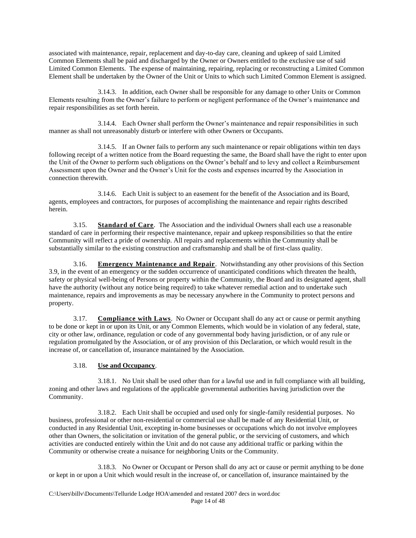associated with maintenance, repair, replacement and day-to-day care, cleaning and upkeep of said Limited Common Elements shall be paid and discharged by the Owner or Owners entitled to the exclusive use of said Limited Common Elements. The expense of maintaining, repairing, replacing or reconstructing a Limited Common Element shall be undertaken by the Owner of the Unit or Units to which such Limited Common Element is assigned.

3.14.3. In addition, each Owner shall be responsible for any damage to other Units or Common Elements resulting from the Owner's failure to perform or negligent performance of the Owner's maintenance and repair responsibilities as set forth herein.

3.14.4. Each Owner shall perform the Owner's maintenance and repair responsibilities in such manner as shall not unreasonably disturb or interfere with other Owners or Occupants.

3.14.5. If an Owner fails to perform any such maintenance or repair obligations within ten days following receipt of a written notice from the Board requesting the same, the Board shall have the right to enter upon the Unit of the Owner to perform such obligations on the Owner's behalf and to levy and collect a Reimbursement Assessment upon the Owner and the Owner's Unit for the costs and expenses incurred by the Association in connection therewith.

3.14.6. Each Unit is subject to an easement for the benefit of the Association and its Board, agents, employees and contractors, for purposes of accomplishing the maintenance and repair rights described herein.

3.15. **Standard of Care**. The Association and the individual Owners shall each use a reasonable standard of care in performing their respective maintenance, repair and upkeep responsibilities so that the entire Community will reflect a pride of ownership. All repairs and replacements within the Community shall be substantially similar to the existing construction and craftsmanship and shall be of first-class quality.

3.16. **Emergency Maintenance and Repair**. Notwithstanding any other provisions of this Section 3.9, in the event of an emergency or the sudden occurrence of unanticipated conditions which threaten the health, safety or physical well-being of Persons or property within the Community, the Board and its designated agent, shall have the authority (without any notice being required) to take whatever remedial action and to undertake such maintenance, repairs and improvements as may be necessary anywhere in the Community to protect persons and property.

3.17. **Compliance with Laws**. No Owner or Occupant shall do any act or cause or permit anything to be done or kept in or upon its Unit, or any Common Elements, which would be in violation of any federal, state, city or other law, ordinance, regulation or code of any governmental body having jurisdiction, or of any rule or regulation promulgated by the Association, or of any provision of this Declaration, or which would result in the increase of, or cancellation of, insurance maintained by the Association.

# 3.18. **Use and Occupancy**.

3.18.1. No Unit shall be used other than for a lawful use and in full compliance with all building, zoning and other laws and regulations of the applicable governmental authorities having jurisdiction over the Community.

3.18.2. Each Unit shall be occupied and used only for single-family residential purposes. No business, professional or other non-residential or commercial use shall be made of any Residential Unit, or conducted in any Residential Unit, excepting in-home businesses or occupations which do not involve employees other than Owners, the solicitation or invitation of the general public, or the servicing of customers, and which activities are conducted entirely within the Unit and do not cause any additional traffic or parking within the Community or otherwise create a nuisance for neighboring Units or the Community.

3.18.3. No Owner or Occupant or Person shall do any act or cause or permit anything to be done or kept in or upon a Unit which would result in the increase of, or cancellation of, insurance maintained by the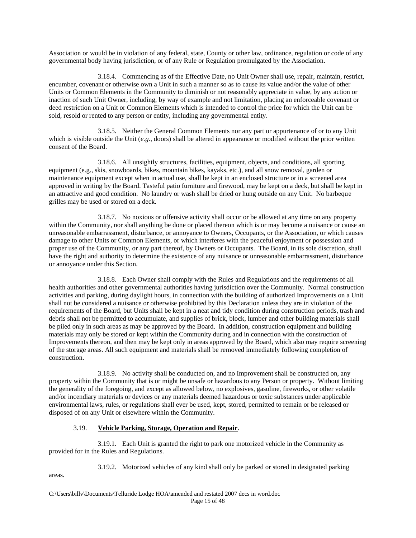Association or would be in violation of any federal, state, County or other law, ordinance, regulation or code of any governmental body having jurisdiction, or of any Rule or Regulation promulgated by the Association.

3.18.4. Commencing as of the Effective Date, no Unit Owner shall use, repair, maintain, restrict, encumber, covenant or otherwise own a Unit in such a manner so as to cause its value and/or the value of other Units or Common Elements in the Community to diminish or not reasonably appreciate in value, by any action or inaction of such Unit Owner, including, by way of example and not limitation, placing an enforceable covenant or deed restriction on a Unit or Common Elements which is intended to control the price for which the Unit can be sold, resold or rented to any person or entity, including any governmental entity.

3.18.5. Neither the General Common Elements nor any part or appurtenance of or to any Unit which is visible outside the Unit (*e.g.*, doors) shall be altered in appearance or modified without the prior written consent of the Board.

3.18.6. All unsightly structures, facilities, equipment, objects, and conditions, all sporting equipment (e.g., skis, snowboards, bikes, mountain bikes, kayaks, etc.), and all snow removal, garden or maintenance equipment except when in actual use, shall be kept in an enclosed structure or in a screened area approved in writing by the Board. Tasteful patio furniture and firewood, may be kept on a deck, but shall be kept in an attractive and good condition. No laundry or wash shall be dried or hung outside on any Unit. No barbeque grilles may be used or stored on a deck.

3.18.7. No noxious or offensive activity shall occur or be allowed at any time on any property within the Community, nor shall anything be done or placed thereon which is or may become a nuisance or cause an unreasonable embarrassment, disturbance, or annoyance to Owners, Occupants, or the Association, or which causes damage to other Units or Common Elements, or which interferes with the peaceful enjoyment or possession and proper use of the Community, or any part thereof, by Owners or Occupants. The Board, in its sole discretion, shall have the right and authority to determine the existence of any nuisance or unreasonable embarrassment, disturbance or annoyance under this Section.

3.18.8. Each Owner shall comply with the Rules and Regulations and the requirements of all health authorities and other governmental authorities having jurisdiction over the Community. Normal construction activities and parking, during daylight hours, in connection with the building of authorized Improvements on a Unit shall not be considered a nuisance or otherwise prohibited by this Declaration unless they are in violation of the requirements of the Board, but Units shall be kept in a neat and tidy condition during construction periods, trash and debris shall not be permitted to accumulate, and supplies of brick, block, lumber and other building materials shall be piled only in such areas as may be approved by the Board. In addition, construction equipment and building materials may only be stored or kept within the Community during and in connection with the construction of Improvements thereon, and then may be kept only in areas approved by the Board, which also may require screening of the storage areas. All such equipment and materials shall be removed immediately following completion of construction.

3.18.9. No activity shall be conducted on, and no Improvement shall be constructed on, any property within the Community that is or might be unsafe or hazardous to any Person or property. Without limiting the generality of the foregoing, and except as allowed below, no explosives, gasoline, fireworks, or other volatile and/or incendiary materials or devices or any materials deemed hazardous or toxic substances under applicable environmental laws, rules, or regulations shall ever be used, kept, stored, permitted to remain or be released or disposed of on any Unit or elsewhere within the Community.

# 3.19. **Vehicle Parking, Storage, Operation and Repair**.

3.19.1. Each Unit is granted the right to park one motorized vehicle in the Community as provided for in the Rules and Regulations.

3.19.2. Motorized vehicles of any kind shall only be parked or stored in designated parking

areas.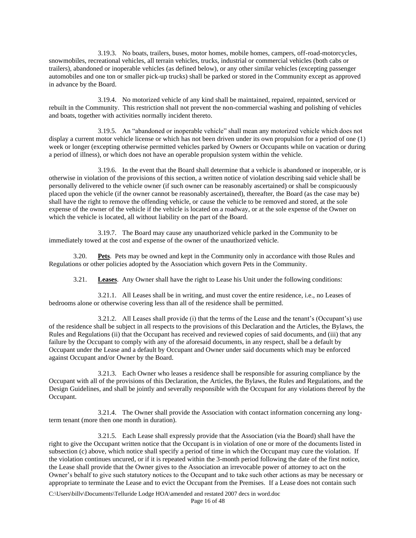3.19.3. No boats, trailers, buses, motor homes, mobile homes, campers, off-road-motorcycles, snowmobiles, recreational vehicles, all terrain vehicles, trucks, industrial or commercial vehicles (both cabs or trailers), abandoned or inoperable vehicles (as defined below), or any other similar vehicles (excepting passenger automobiles and one ton or smaller pick-up trucks) shall be parked or stored in the Community except as approved in advance by the Board.

3.19.4. No motorized vehicle of any kind shall be maintained, repaired, repainted, serviced or rebuilt in the Community. This restriction shall not prevent the non-commercial washing and polishing of vehicles and boats, together with activities normally incident thereto.

3.19.5. An "abandoned or inoperable vehicle" shall mean any motorized vehicle which does not display a current motor vehicle license or which has not been driven under its own propulsion for a period of one (1) week or longer (excepting otherwise permitted vehicles parked by Owners or Occupants while on vacation or during a period of illness), or which does not have an operable propulsion system within the vehicle.

3.19.6. In the event that the Board shall determine that a vehicle is abandoned or inoperable, or is otherwise in violation of the provisions of this section, a written notice of violation describing said vehicle shall be personally delivered to the vehicle owner (if such owner can be reasonably ascertained) or shall be conspicuously placed upon the vehicle (if the owner cannot be reasonably ascertained), thereafter, the Board (as the case may be) shall have the right to remove the offending vehicle, or cause the vehicle to be removed and stored, at the sole expense of the owner of the vehicle if the vehicle is located on a roadway, or at the sole expense of the Owner on which the vehicle is located, all without liability on the part of the Board.

3.19.7. The Board may cause any unauthorized vehicle parked in the Community to be immediately towed at the cost and expense of the owner of the unauthorized vehicle.

3.20. **Pets**. Pets may be owned and kept in the Community only in accordance with those Rules and Regulations or other policies adopted by the Association which govern Pets in the Community.

3.21. **Leases**. Any Owner shall have the right to Lease his Unit under the following conditions:

3.21.1. All Leases shall be in writing, and must cover the entire residence, i.e., no Leases of bedrooms alone or otherwise covering less than all of the residence shall be permitted.

3.21.2. All Leases shall provide (i) that the terms of the Lease and the tenant's (Occupant's) use of the residence shall be subject in all respects to the provisions of this Declaration and the Articles, the Bylaws, the Rules and Regulations (ii) that the Occupant has received and reviewed copies of said documents, and (iii) that any failure by the Occupant to comply with any of the aforesaid documents, in any respect, shall be a default by Occupant under the Lease and a default by Occupant and Owner under said documents which may be enforced against Occupant and/or Owner by the Board.

3.21.3. Each Owner who leases a residence shall be responsible for assuring compliance by the Occupant with all of the provisions of this Declaration, the Articles, the Bylaws, the Rules and Regulations, and the Design Guidelines, and shall be jointly and severally responsible with the Occupant for any violations thereof by the Occupant.

3.21.4. The Owner shall provide the Association with contact information concerning any longterm tenant (more then one month in duration).

3.21.5. Each Lease shall expressly provide that the Association (via the Board) shall have the right to give the Occupant written notice that the Occupant is in violation of one or more of the documents listed in subsection (c) above, which notice shall specify a period of time in which the Occupant may cure the violation. If the violation continues uncured, or if it is repeated within the 3-month period following the date of the first notice, the Lease shall provide that the Owner gives to the Association an irrevocable power of attorney to act on the Owner's behalf to give such statutory notices to the Occupant and to take such other actions as may be necessary or appropriate to terminate the Lease and to evict the Occupant from the Premises. If a Lease does not contain such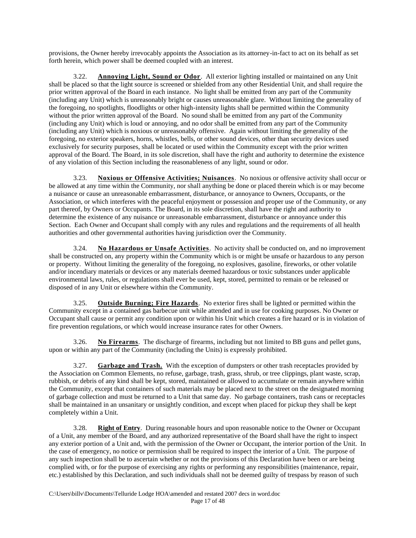provisions, the Owner hereby irrevocably appoints the Association as its attorney-in-fact to act on its behalf as set forth herein, which power shall be deemed coupled with an interest.

3.22. **Annoying Light, Sound or Odor**. All exterior lighting installed or maintained on any Unit shall be placed so that the light source is screened or shielded from any other Residential Unit, and shall require the prior written approval of the Board in each instance. No light shall be emitted from any part of the Community (including any Unit) which is unreasonably bright or causes unreasonable glare. Without limiting the generality of the foregoing, no spotlights, floodlights or other high-intensity lights shall be permitted within the Community without the prior written approval of the Board. No sound shall be emitted from any part of the Community (including any Unit) which is loud or annoying, and no odor shall be emitted from any part of the Community (including any Unit) which is noxious or unreasonably offensive. Again without limiting the generality of the foregoing, no exterior speakers, horns, whistles, bells, or other sound devices, other than security devices used exclusively for security purposes, shall be located or used within the Community except with the prior written approval of the Board. The Board, in its sole discretion, shall have the right and authority to determine the existence of any violation of this Section including the reasonableness of any light, sound or odor.

3.23. **Noxious or Offensive Activities; Nuisances**. No noxious or offensive activity shall occur or be allowed at any time within the Community, nor shall anything be done or placed therein which is or may become a nuisance or cause an unreasonable embarrassment, disturbance, or annoyance to Owners, Occupants, or the Association, or which interferes with the peaceful enjoyment or possession and proper use of the Community, or any part thereof, by Owners or Occupants. The Board, in its sole discretion, shall have the right and authority to determine the existence of any nuisance or unreasonable embarrassment, disturbance or annoyance under this Section. Each Owner and Occupant shall comply with any rules and regulations and the requirements of all health authorities and other governmental authorities having jurisdiction over the Community.

3.24. **No Hazardous or Unsafe Activities**. No activity shall be conducted on, and no improvement shall be constructed on, any property within the Community which is or might be unsafe or hazardous to any person or property. Without limiting the generality of the foregoing, no explosives, gasoline, fireworks, or other volatile and/or incendiary materials or devices or any materials deemed hazardous or toxic substances under applicable environmental laws, rules, or regulations shall ever be used, kept, stored, permitted to remain or be released or disposed of in any Unit or elsewhere within the Community.

3.25. **Outside Burning; Fire Hazards**. No exterior fires shall be lighted or permitted within the Community except in a contained gas barbecue unit while attended and in use for cooking purposes. No Owner or Occupant shall cause or permit any condition upon or within his Unit which creates a fire hazard or is in violation of fire prevention regulations, or which would increase insurance rates for other Owners.

3.26. **No Firearms**. The discharge of firearms, including but not limited to BB guns and pellet guns, upon or within any part of the Community (including the Units) is expressly prohibited.

3.27. **Garbage and Trash.** With the exception of dumpsters or other trash receptacles provided by the Association on Common Elements, no refuse, garbage, trash, grass, shrub, or tree clippings, plant waste, scrap, rubbish, or debris of any kind shall be kept, stored, maintained or allowed to accumulate or remain anywhere within the Community, except that containers of such materials may be placed next to the street on the designated morning of garbage collection and must be returned to a Unit that same day. No garbage containers, trash cans or receptacles shall be maintained in an unsanitary or unsightly condition, and except when placed for pickup they shall be kept completely within a Unit.

3.28. **Right of Entry**. During reasonable hours and upon reasonable notice to the Owner or Occupant of a Unit, any member of the Board, and any authorized representative of the Board shall have the right to inspect any exterior portion of a Unit and, with the permission of the Owner or Occupant, the interior portion of the Unit. In the case of emergency, no notice or permission shall be required to inspect the interior of a Unit. The purpose of any such inspection shall be to ascertain whether or not the provisions of this Declaration have been or are being complied with, or for the purpose of exercising any rights or performing any responsibilities (maintenance, repair, etc.) established by this Declaration, and such individuals shall not be deemed guilty of trespass by reason of such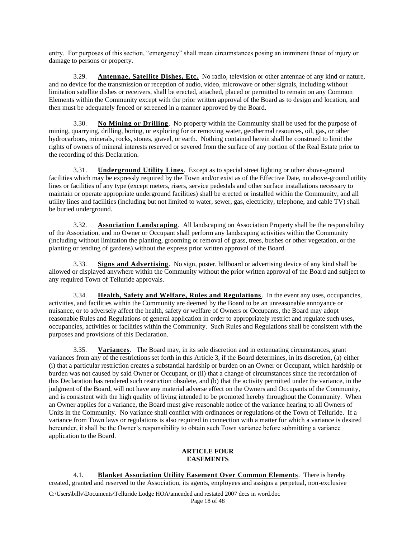entry. For purposes of this section, "emergency" shall mean circumstances posing an imminent threat of injury or damage to persons or property.

3.29. **Antennae, Satellite Dishes, Etc.** No radio, television or other antennae of any kind or nature, and no device for the transmission or reception of audio, video, microwave or other signals, including without limitation satellite dishes or receivers, shall be erected, attached, placed or permitted to remain on any Common Elements within the Community except with the prior written approval of the Board as to design and location, and then must be adequately fenced or screened in a manner approved by the Board.

3.30. **No Mining or Drilling**. No property within the Community shall be used for the purpose of mining, quarrying, drilling, boring, or exploring for or removing water, geothermal resources, oil, gas, or other hydrocarbons, minerals, rocks, stones, gravel, or earth. Nothing contained herein shall be construed to limit the rights of owners of mineral interests reserved or severed from the surface of any portion of the Real Estate prior to the recording of this Declaration.

3.31. **Underground Utility Lines**. Except as to special street lighting or other above-ground facilities which may be expressly required by the Town and/or exist as of the Effective Date, no above-ground utility lines or facilities of any type (except meters, risers, service pedestals and other surface installations necessary to maintain or operate appropriate underground facilities) shall be erected or installed within the Community, and all utility lines and facilities (including but not limited to water, sewer, gas, electricity, telephone, and cable TV) shall be buried underground.

3.32. **Association Landscaping**. All landscaping on Association Property shall be the responsibility of the Association, and no Owner or Occupant shall perform any landscaping activities within the Community (including without limitation the planting, grooming or removal of grass, trees, bushes or other vegetation, or the planting or tending of gardens) without the express prior written approval of the Board.

3.33. **Signs and Advertising**. No sign, poster, billboard or advertising device of any kind shall be allowed or displayed anywhere within the Community without the prior written approval of the Board and subject to any required Town of Telluride approvals.

3.34. **Health, Safety and Welfare, Rules and Regulations**. In the event any uses, occupancies, activities, and facilities within the Community are deemed by the Board to be an unreasonable annoyance or nuisance, or to adversely affect the health, safety or welfare of Owners or Occupants, the Board may adopt reasonable Rules and Regulations of general application in order to appropriately restrict and regulate such uses, occupancies, activities or facilities within the Community. Such Rules and Regulations shall be consistent with the purposes and provisions of this Declaration.

3.35. **Variances**. The Board may, in its sole discretion and in extenuating circumstances, grant variances from any of the restrictions set forth in this Article 3, if the Board determines, in its discretion, (a) either (i) that a particular restriction creates a substantial hardship or burden on an Owner or Occupant, which hardship or burden was not caused by said Owner or Occupant, or (ii) that a change of circumstances since the recordation of this Declaration has rendered such restriction obsolete, and (b) that the activity permitted under the variance, in the judgment of the Board, will not have any material adverse effect on the Owners and Occupants of the Community, and is consistent with the high quality of living intended to be promoted hereby throughout the Community. When an Owner applies for a variance, the Board must give reasonable notice of the variance hearing to all Owners of Units in the Community. No variance shall conflict with ordinances or regulations of the Town of Telluride. If a variance from Town laws or regulations is also required in connection with a matter for which a variance is desired hereunder, it shall be the Owner's responsibility to obtain such Town variance before submitting a variance application to the Board.

# **ARTICLE FOUR EASEMENTS**

4.1. **Blanket Association Utility Easement Over Common Elements**. There is hereby created, granted and reserved to the Association, its agents, employees and assigns a perpetual, non-exclusive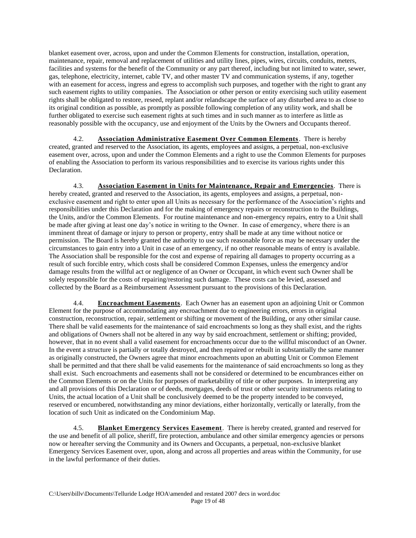blanket easement over, across, upon and under the Common Elements for construction, installation, operation, maintenance, repair, removal and replacement of utilities and utility lines, pipes, wires, circuits, conduits, meters, facilities and systems for the benefit of the Community or any part thereof, including but not limited to water, sewer, gas, telephone, electricity, internet, cable TV, and other master TV and communication systems, if any, together with an easement for access, ingress and egress to accomplish such purposes, and together with the right to grant any such easement rights to utility companies. The Association or other person or entity exercising such utility easement rights shall be obligated to restore, reseed, replant and/or relandscape the surface of any disturbed area to as close to its original condition as possible, as promptly as possible following completion of any utility work, and shall be further obligated to exercise such easement rights at such times and in such manner as to interfere as little as reasonably possible with the occupancy, use and enjoyment of the Units by the Owners and Occupants thereof.

4.2. **Association Administrative Easement Over Common Elements**. There is hereby created, granted and reserved to the Association, its agents, employees and assigns, a perpetual, non-exclusive easement over, across, upon and under the Common Elements and a right to use the Common Elements for purposes of enabling the Association to perform its various responsibilities and to exercise its various rights under this Declaration.

4.3. **Association Easement in Units for Maintenance, Repair and Emergencies**. There is hereby created, granted and reserved to the Association, its agents, employees and assigns, a perpetual, nonexclusive easement and right to enter upon all Units as necessary for the performance of the Association's rights and responsibilities under this Declaration and for the making of emergency repairs or reconstruction to the Buildings, the Units, and/or the Common Elements. For routine maintenance and non-emergency repairs, entry to a Unit shall be made after giving at least one day's notice in writing to the Owner. In case of emergency, where there is an imminent threat of damage or injury to person or property, entry shall be made at any time without notice or permission. The Board is hereby granted the authority to use such reasonable force as may be necessary under the circumstances to gain entry into a Unit in case of an emergency, if no other reasonable means of entry is available. The Association shall be responsible for the cost and expense of repairing all damages to property occurring as a result of such forcible entry, which costs shall be considered Common Expenses, unless the emergency and/or damage results from the willful act or negligence of an Owner or Occupant, in which event such Owner shall be solely responsible for the costs of repairing/restoring such damage. These costs can be levied, assessed and collected by the Board as a Reimbursement Assessment pursuant to the provisions of this Declaration.

4.4. **Encroachment Easements**. Each Owner has an easement upon an adjoining Unit or Common Element for the purpose of accommodating any encroachment due to engineering errors, errors in original construction, reconstruction, repair, settlement or shifting or movement of the Building, or any other similar cause. There shall be valid easements for the maintenance of said encroachments so long as they shall exist, and the rights and obligations of Owners shall not be altered in any way by said encroachment, settlement or shifting; provided, however, that in no event shall a valid easement for encroachments occur due to the willful misconduct of an Owner. In the event a structure is partially or totally destroyed, and then repaired or rebuilt in substantially the same manner as originally constructed, the Owners agree that minor encroachments upon an abutting Unit or Common Element shall be permitted and that there shall be valid easements for the maintenance of said encroachments so long as they shall exist. Such encroachments and easements shall not be considered or determined to be encumbrances either on the Common Elements or on the Units for purposes of marketability of title or other purposes. In interpreting any and all provisions of this Declaration or of deeds, mortgages, deeds of trust or other security instruments relating to Units, the actual location of a Unit shall be conclusively deemed to be the property intended to be conveyed, reserved or encumbered, notwithstanding any minor deviations, either horizontally, vertically or laterally, from the location of such Unit as indicated on the Condominium Map.

4.5. **Blanket Emergency Services Easement**. There is hereby created, granted and reserved for the use and benefit of all police, sheriff, fire protection, ambulance and other similar emergency agencies or persons now or hereafter serving the Community and its Owners and Occupants, a perpetual, non-exclusive blanket Emergency Services Easement over, upon, along and across all properties and areas within the Community, for use in the lawful performance of their duties.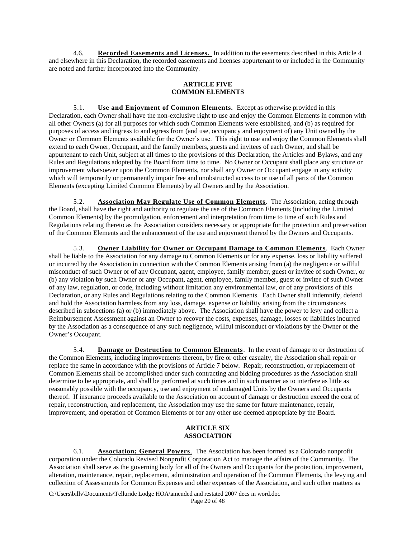4.6. **Recorded Easements and Licenses.** In addition to the easements described in this Article 4 and elsewhere in this Declaration, the recorded easements and licenses appurtenant to or included in the Community are noted and further incorporated into the Community.

# **ARTICLE FIVE COMMON ELEMENTS**

5.1. **Use and Enjoyment of Common Elements.** Except as otherwise provided in this Declaration, each Owner shall have the non-exclusive right to use and enjoy the Common Elements in common with all other Owners (a) for all purposes for which such Common Elements were established, and (b) as required for purposes of access and ingress to and egress from (and use, occupancy and enjoyment of) any Unit owned by the Owner or Common Elements available for the Owner's use. This right to use and enjoy the Common Elements shall extend to each Owner, Occupant, and the family members, guests and invitees of each Owner, and shall be appurtenant to each Unit, subject at all times to the provisions of this Declaration, the Articles and Bylaws, and any Rules and Regulations adopted by the Board from time to time. No Owner or Occupant shall place any structure or improvement whatsoever upon the Common Elements, nor shall any Owner or Occupant engage in any activity which will temporarily or permanently impair free and unobstructed access to or use of all parts of the Common Elements (excepting Limited Common Elements) by all Owners and by the Association.

5.2. **Association May Regulate Use of Common Elements**. The Association, acting through the Board, shall have the right and authority to regulate the use of the Common Elements (including the Limited Common Elements) by the promulgation, enforcement and interpretation from time to time of such Rules and Regulations relating thereto as the Association considers necessary or appropriate for the protection and preservation of the Common Elements and the enhancement of the use and enjoyment thereof by the Owners and Occupants.

5.3. **Owner Liability for Owner or Occupant Damage to Common Elements**. Each Owner shall be liable to the Association for any damage to Common Elements or for any expense, loss or liability suffered or incurred by the Association in connection with the Common Elements arising from (a) the negligence or willful misconduct of such Owner or of any Occupant, agent, employee, family member, guest or invitee of such Owner, or (b) any violation by such Owner or any Occupant, agent, employee, family member, guest or invitee of such Owner of any law, regulation, or code, including without limitation any environmental law, or of any provisions of this Declaration, or any Rules and Regulations relating to the Common Elements. Each Owner shall indemnify, defend and hold the Association harmless from any loss, damage, expense or liability arising from the circumstances described in subsections (a) or (b) immediately above. The Association shall have the power to levy and collect a Reimbursement Assessment against an Owner to recover the costs, expenses, damage, losses or liabilities incurred by the Association as a consequence of any such negligence, willful misconduct or violations by the Owner or the Owner's Occupant.

5.4. **Damage or Destruction to Common Elements**. In the event of damage to or destruction of the Common Elements, including improvements thereon, by fire or other casualty, the Association shall repair or replace the same in accordance with the provisions of Article 7 below. Repair, reconstruction, or replacement of Common Elements shall be accomplished under such contracting and bidding procedures as the Association shall determine to be appropriate, and shall be performed at such times and in such manner as to interfere as little as reasonably possible with the occupancy, use and enjoyment of undamaged Units by the Owners and Occupants thereof. If insurance proceeds available to the Association on account of damage or destruction exceed the cost of repair, reconstruction, and replacement, the Association may use the same for future maintenance, repair, improvement, and operation of Common Elements or for any other use deemed appropriate by the Board.

# **ARTICLE SIX ASSOCIATION**

6.1. **Association; General Powers**. The Association has been formed as a Colorado nonprofit corporation under the Colorado Revised Nonprofit Corporation Act to manage the affairs of the Community. The Association shall serve as the governing body for all of the Owners and Occupants for the protection, improvement, alteration, maintenance, repair, replacement, administration and operation of the Common Elements, the levying and collection of Assessments for Common Expenses and other expenses of the Association, and such other matters as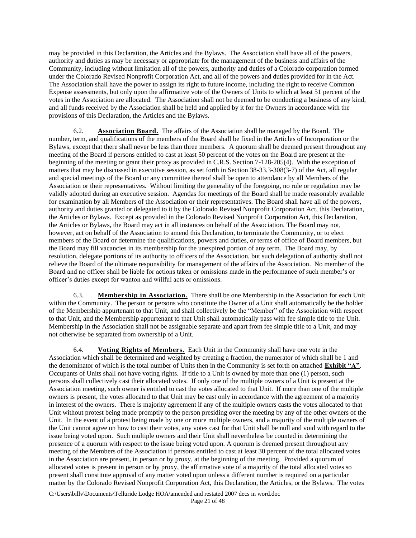may be provided in this Declaration, the Articles and the Bylaws. The Association shall have all of the powers, authority and duties as may be necessary or appropriate for the management of the business and affairs of the Community, including without limitation all of the powers, authority and duties of a Colorado corporation formed under the Colorado Revised Nonprofit Corporation Act, and all of the powers and duties provided for in the Act. The Association shall have the power to assign its right to future income, including the right to receive Common Expense assessments, but only upon the affirmative vote of the Owners of Units to which at least 51 percent of the votes in the Association are allocated. The Association shall not be deemed to be conducting a business of any kind, and all funds received by the Association shall be held and applied by it for the Owners in accordance with the provisions of this Declaration, the Articles and the Bylaws.

6.2. **Association Board.** The affairs of the Association shall be managed by the Board. The number, term, and qualifications of the members of the Board shall be fixed in the Articles of Incorporation or the Bylaws, except that there shall never be less than three members. A quorum shall be deemed present throughout any meeting of the Board if persons entitled to cast at least 50 percent of the votes on the Board are present at the beginning of the meeting or grant their proxy as provided in C.R.S. Section 7-128-205(4). With the exception of matters that may be discussed in executive session, as set forth in Section 38-33.3-308(3-7) of the Act, all regular and special meetings of the Board or any committee thereof shall be open to attendance by all Members of the Association or their representatives. Without limiting the generality of the foregoing, no rule or regulation may be validly adopted during an executive session. Agendas for meetings of the Board shall be made reasonably available for examination by all Members of the Association or their representatives. The Board shall have all of the powers, authority and duties granted or delegated to it by the Colorado Revised Nonprofit Corporation Act, this Declaration, the Articles or Bylaws. Except as provided in the Colorado Revised Nonprofit Corporation Act, this Declaration, the Articles or Bylaws, the Board may act in all instances on behalf of the Association. The Board may not, however, act on behalf of the Association to amend this Declaration, to terminate the Community, or to elect members of the Board or determine the qualifications, powers and duties, or terms of office of Board members, but the Board may fill vacancies in its membership for the unexpired portion of any term. The Board may, by resolution, delegate portions of its authority to officers of the Association, but such delegation of authority shall not relieve the Board of the ultimate responsibility for management of the affairs of the Association. No member of the Board and no officer shall be liable for actions taken or omissions made in the performance of such member's or officer's duties except for wanton and willful acts or omissions.

6.3. **Membership in Association.** There shall be one Membership in the Association for each Unit within the Community. The person or persons who constitute the Owner of a Unit shall automatically be the holder of the Membership appurtenant to that Unit, and shall collectively be the "Member" of the Association with respect to that Unit, and the Membership appurtenant to that Unit shall automatically pass with fee simple title to the Unit. Membership in the Association shall not be assignable separate and apart from fee simple title to a Unit, and may not otherwise be separated from ownership of a Unit.

6.4. **Voting Rights of Members.** Each Unit in the Community shall have one vote in the Association which shall be determined and weighted by creating a fraction, the numerator of which shall be 1 and the denominator of which is the total number of Units then in the Community is set forth on attached **Exhibit "A"**. Occupants of Units shall not have voting rights. If title to a Unit is owned by more than one (1) person, such persons shall collectively cast their allocated votes. If only one of the multiple owners of a Unit is present at the Association meeting, such owner is entitled to cast the votes allocated to that Unit. If more than one of the multiple owners is present, the votes allocated to that Unit may be cast only in accordance with the agreement of a majority in interest of the owners. There is majority agreement if any of the multiple owners casts the votes allocated to that Unit without protest being made promptly to the person presiding over the meeting by any of the other owners of the Unit. In the event of a protest being made by one or more multiple owners, and a majority of the multiple owners of the Unit cannot agree on how to cast their votes, any votes cast for that Unit shall be null and void with regard to the issue being voted upon. Such multiple owners and their Unit shall nevertheless be counted in determining the presence of a quorum with respect to the issue being voted upon. A quorum is deemed present throughout any meeting of the Members of the Association if persons entitled to cast at least 30 percent of the total allocated votes in the Association are present, in person or by proxy, at the beginning of the meeting. Provided a quorum of allocated votes is present in person or by proxy, the affirmative vote of a majority of the total allocated votes so present shall constitute approval of any matter voted upon unless a different number is required on a particular matter by the Colorado Revised Nonprofit Corporation Act, this Declaration, the Articles, or the Bylaws. The votes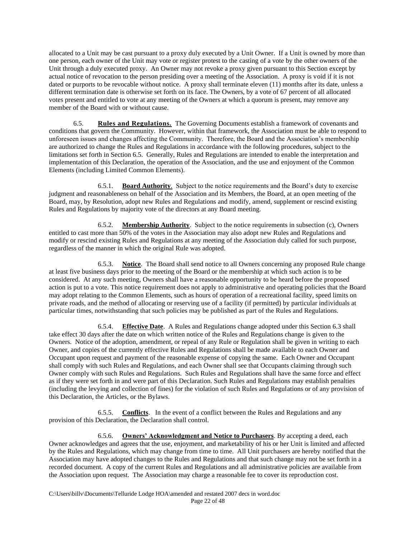allocated to a Unit may be cast pursuant to a proxy duly executed by a Unit Owner. If a Unit is owned by more than one person, each owner of the Unit may vote or register protest to the casting of a vote by the other owners of the Unit through a duly executed proxy. An Owner may not revoke a proxy given pursuant to this Section except by actual notice of revocation to the person presiding over a meeting of the Association. A proxy is void if it is not dated or purports to be revocable without notice. A proxy shall terminate eleven (11) months after its date, unless a different termination date is otherwise set forth on its face. The Owners, by a vote of 67 percent of all allocated votes present and entitled to vote at any meeting of the Owners at which a quorum is present, may remove any member of the Board with or without cause.

6.5. **Rules and Regulations.** The Governing Documents establish a framework of covenants and conditions that govern the Community. However, within that framework, the Association must be able to respond to unforeseen issues and changes affecting the Community. Therefore, the Board and the Association's membership are authorized to change the Rules and Regulations in accordance with the following procedures, subject to the limitations set forth in Section 6.5. Generally, Rules and Regulations are intended to enable the interpretation and implementation of this Declaration, the operation of the Association, and the use and enjoyment of the Common Elements (including Limited Common Elements).

6.5.1. **Board Authority**. Subject to the notice requirements and the Board's duty to exercise judgment and reasonableness on behalf of the Association and its Members, the Board, at an open meeting of the Board, may, by Resolution, adopt new Rules and Regulations and modify, amend, supplement or rescind existing Rules and Regulations by majority vote of the directors at any Board meeting.

6.5.2. **Membership Authority**. Subject to the notice requirements in subsection (c), Owners entitled to cast more than 50% of the votes in the Association may also adopt new Rules and Regulations and modify or rescind existing Rules and Regulations at any meeting of the Association duly called for such purpose, regardless of the manner in which the original Rule was adopted.

6.5.3. **Notice**. The Board shall send notice to all Owners concerning any proposed Rule change at least five business days prior to the meeting of the Board or the membership at which such action is to be considered. At any such meeting, Owners shall have a reasonable opportunity to be heard before the proposed action is put to a vote. This notice requirement does not apply to administrative and operating policies that the Board may adopt relating to the Common Elements, such as hours of operation of a recreational facility, speed limits on private roads, and the method of allocating or reserving use of a facility (if permitted) by particular individuals at particular times, notwithstanding that such policies may be published as part of the Rules and Regulations.

6.5.4. **Effective Date**. A Rules and Regulations change adopted under this Section 6.3 shall take effect 30 days after the date on which written notice of the Rules and Regulations change is given to the Owners. Notice of the adoption, amendment, or repeal of any Rule or Regulation shall be given in writing to each Owner, and copies of the currently effective Rules and Regulations shall be made available to each Owner and Occupant upon request and payment of the reasonable expense of copying the same. Each Owner and Occupant shall comply with such Rules and Regulations, and each Owner shall see that Occupants claiming through such Owner comply with such Rules and Regulations. Such Rules and Regulations shall have the same force and effect as if they were set forth in and were part of this Declaration. Such Rules and Regulations may establish penalties (including the levying and collection of fines) for the violation of such Rules and Regulations or of any provision of this Declaration, the Articles, or the Bylaws.

6.5.5. **Conflicts**. In the event of a conflict between the Rules and Regulations and any provision of this Declaration, the Declaration shall control.

6.5.6. **Owners' Acknowledgment and Notice to Purchasers**. By accepting a deed, each Owner acknowledges and agrees that the use, enjoyment, and marketability of his or her Unit is limited and affected by the Rules and Regulations, which may change from time to time. All Unit purchasers are hereby notified that the Association may have adopted changes to the Rules and Regulations and that such change may not be set forth in a recorded document. A copy of the current Rules and Regulations and all administrative policies are available from the Association upon request. The Association may charge a reasonable fee to cover its reproduction cost.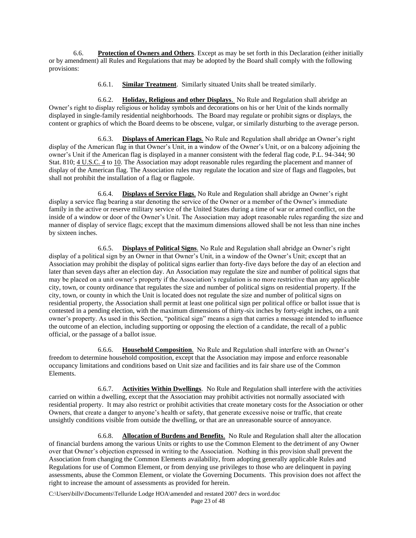6.6. **Protection of Owners and Others**. Except as may be set forth in this Declaration (either initially or by amendment) all Rules and Regulations that may be adopted by the Board shall comply with the following provisions:

6.6.1. **Similar Treatment**. Similarly situated Units shall be treated similarly.

6.6.2. **Holiday, Religious and other Displays**. No Rule and Regulation shall abridge an Owner's right to display religious or holiday symbols and decorations on his or her Unit of the kinds normally displayed in single-family residential neighborhoods. The Board may regulate or prohibit signs or displays, the content or graphics of which the Board deems to be obscene, vulgar, or similarly disturbing to the average person.

6.6.3. **Displays of American Flags**. No Rule and Regulation shall abridge an Owner's right display of the American flag in that Owner's Unit, in a window of the Owner's Unit, or on a balcony adjoining the owner's Unit if the American flag is displayed in a manner consistent with the federal flag code, P.L. 94-344; 90 Stat. 810; [4 U.S.C. 4](http://web2.westlaw.com/find/default.wl?DB=1000546&DocName=4USCAS4&FindType=L&AP=&mt=Colorado&fn=_top&sv=Split&vr=2.0&rs=WLW6.04) t[o 10.](http://web2.westlaw.com/find/default.wl?DB=1000546&DocName=4USCAS10&FindType=L&AP=&mt=Colorado&fn=_top&sv=Split&vr=2.0&rs=WLW6.04) The Association may adopt reasonable rules regarding the placement and manner of display of the American flag. The Association rules may regulate the location and size of flags and flagpoles, but shall not prohibit the installation of a flag or flagpole.

6.6.4. **Displays of Service Flags**. No Rule and Regulation shall abridge an Owner's right display a service flag bearing a star denoting the service of the Owner or a member of the Owner's immediate family in the active or reserve military service of the United States during a time of war or armed conflict, on the inside of a window or door of the Owner's Unit. The Association may adopt reasonable rules regarding the size and manner of display of service flags; except that the maximum dimensions allowed shall be not less than nine inches by sixteen inches.

6.6.5. **Displays of Political Signs**. No Rule and Regulation shall abridge an Owner's right display of a political sign by an Owner in that Owner's Unit, in a window of the Owner's Unit; except that an Association may prohibit the display of political signs earlier than forty-five days before the day of an election and later than seven days after an election day. An Association may regulate the size and number of political signs that may be placed on a unit owner's property if the Association's regulation is no more restrictive than any applicable city, town, or county ordinance that regulates the size and number of political signs on residential property. If the city, town, or county in which the Unit is located does not regulate the size and number of political signs on residential property, the Association shall permit at least one political sign per political office or ballot issue that is contested in a pending election, with the maximum dimensions of thirty-six inches by forty-eight inches, on a unit owner's property. As used in this Section, "political sign" means a sign that carries a message intended to influence the outcome of an election, including supporting or opposing the election of a candidate, the recall of a public official, or the passage of a ballot issue.

6.6.6. **Household Composition**. No Rule and Regulation shall interfere with an Owner's freedom to determine household composition, except that the Association may impose and enforce reasonable occupancy limitations and conditions based on Unit size and facilities and its fair share use of the Common Elements.

6.6.7. **Activities Within Dwellings**. No Rule and Regulation shall interfere with the activities carried on within a dwelling, except that the Association may prohibit activities not normally associated with residential property. It may also restrict or prohibit activities that create monetary costs for the Association or other Owners, that create a danger to anyone's health or safety, that generate excessive noise or traffic, that create unsightly conditions visible from outside the dwelling, or that are an unreasonable source of annoyance.

6.6.8. **Allocation of Burdens and Benefits**. No Rule and Regulation shall alter the allocation of financial burdens among the various Units or rights to use the Common Element to the detriment of any Owner over that Owner's objection expressed in writing to the Association. Nothing in this provision shall prevent the Association from changing the Common Elements availability, from adopting generally applicable Rules and Regulations for use of Common Element, or from denying use privileges to those who are delinquent in paying assessments, abuse the Common Element, or violate the Governing Documents. This provision does not affect the right to increase the amount of assessments as provided for herein.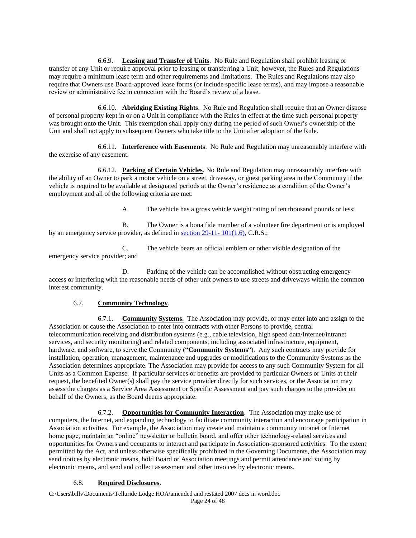6.6.9. **Leasing and Transfer of Units**. No Rule and Regulation shall prohibit leasing or transfer of any Unit or require approval prior to leasing or transferring a Unit; however, the Rules and Regulations may require a minimum lease term and other requirements and limitations. The Rules and Regulations may also require that Owners use Board-approved lease forms (or include specific lease terms), and may impose a reasonable review or administrative fee in connection with the Board's review of a lease.

6.6.10. **Abridging Existing Rights**. No Rule and Regulation shall require that an Owner dispose of personal property kept in or on a Unit in compliance with the Rules in effect at the time such personal property was brought onto the Unit. This exemption shall apply only during the period of such Owner's ownership of the Unit and shall not apply to subsequent Owners who take title to the Unit after adoption of the Rule.

6.6.11. **Interference with Easements**. No Rule and Regulation may unreasonably interfere with the exercise of any easement.

6.6.12. **Parking of Certain Vehicles**. No Rule and Regulation may unreasonably interfere with the ability of an Owner to park a motor vehicle on a street, driveway, or guest parking area in the Community if the vehicle is required to be available at designated periods at the Owner's residence as a condition of the Owner's employment and all of the following criteria are met:

A. The vehicle has a gross vehicle weight rating of ten thousand pounds or less;

B. The Owner is a bona fide member of a volunteer fire department or is employed by an emergency service provider, as defined in [section 29-11-](http://web2.westlaw.com/find/default.wl?DB=1000517&DocName=COSTS29%2D11%2D101&FindType=L&ReferencePositionType=T&ReferencePosition=SP%3B0aff0000090a0&AP=&mt=Colorado&fn=_top&sv=Split&vr=2.0&rs=WLW6.04) 101(1.6), C.R.S.;

C. The vehicle bears an official emblem or other visible designation of the emergency service provider; and

D. Parking of the vehicle can be accomplished without obstructing emergency access or interfering with the reasonable needs of other unit owners to use streets and driveways within the common interest community.

#### 6.7. **Community Technology**.

6.7.1. **Community Systems**. The Association may provide, or may enter into and assign to the Association or cause the Association to enter into contracts with other Persons to provide, central telecommunication receiving and distribution systems (e.g., cable television, high speed data/Internet/intranet services, and security monitoring) and related components, including associated infrastructure, equipment, hardware, and software, to serve the Community ("**Community Systems**"). Any such contracts may provide for installation, operation, management, maintenance and upgrades or modifications to the Community Systems as the Association determines appropriate. The Association may provide for access to any such Community System for all Units as a Common Expense. If particular services or benefits are provided to particular Owners or Units at their request, the benefited Owner(s) shall pay the service provider directly for such services, or the Association may assess the charges as a Service Area Assessment or Specific Assessment and pay such charges to the provider on behalf of the Owners, as the Board deems appropriate.

6.7.2. **Opportunities for Community Interaction**. The Association may make use of computers, the Internet, and expanding technology to facilitate community interaction and encourage participation in Association activities. For example, the Association may create and maintain a community intranet or Internet home page, maintain an "online" newsletter or bulletin board, and offer other technology-related services and opportunities for Owners and occupants to interact and participate in Association-sponsored activities. To the extent permitted by the Act, and unless otherwise specifically prohibited in the Governing Documents, the Association may send notices by electronic means, hold Board or Association meetings and permit attendance and voting by electronic means, and send and collect assessment and other invoices by electronic means.

#### 6.8. **Required Disclosures**.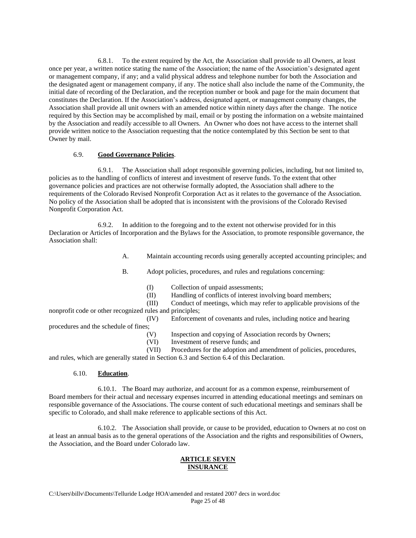6.8.1. To the extent required by the Act, the Association shall provide to all Owners, at least once per year, a written notice stating the name of the Association; the name of the Association's designated agent or management company, if any; and a valid physical address and telephone number for both the Association and the designated agent or management company, if any. The notice shall also include the name of the Community, the initial date of recording of the Declaration, and the reception number or book and page for the main document that constitutes the Declaration. If the Association's address, designated agent, or management company changes, the Association shall provide all unit owners with an amended notice within ninety days after the change. The notice required by this Section may be accomplished by mail, email or by posting the information on a website maintained by the Association and readily accessible to all Owners. An Owner who does not have access to the internet shall provide written notice to the Association requesting that the notice contemplated by this Section be sent to that Owner by mail.

## 6.9. **Good Governance Policies**.

6.9.1. The Association shall adopt responsible governing policies, including, but not limited to, policies as to the handling of conflicts of interest and investment of reserve funds. To the extent that other governance policies and practices are not otherwise formally adopted, the Association shall adhere to the requirements of the Colorado Revised Nonprofit Corporation Act as it relates to the governance of the Association. No policy of the Association shall be adopted that is inconsistent with the provisions of the Colorado Revised Nonprofit Corporation Act.

6.9.2. In addition to the foregoing and to the extent not otherwise provided for in this Declaration or Articles of Incorporation and the Bylaws for the Association, to promote responsible governance, the Association shall:

A. Maintain accounting records using generally accepted accounting principles; and

B. Adopt policies, procedures, and rules and regulations concerning:

- (I) Collection of unpaid assessments;
- (II) Handling of conflicts of interest involving board members;

(III) Conduct of meetings, which may refer to applicable provisions of the nonprofit code or other recognized rules and principles;

procedures and the schedule of fines;

- (IV) Enforcement of covenants and rules, including notice and hearing
- (V) Inspection and copying of Association records by Owners;
- (VI) Investment of reserve funds; and

(VII) Procedures for the adoption and amendment of policies, procedures,

and rules, which are generally stated in Section 6.3 and Section 6.4 of this Declaration.

# 6.10. **Education**.

6.10.1. The Board may authorize, and account for as a common expense, reimbursement of Board members for their actual and necessary expenses incurred in attending educational meetings and seminars on responsible governance of the Associations. The course content of such educational meetings and seminars shall be specific to Colorado, and shall make reference to applicable sections of this Act.

6.10.2. The Association shall provide, or cause to be provided, education to Owners at no cost on at least an annual basis as to the general operations of the Association and the rights and responsibilities of Owners, the Association, and the Board under Colorado law.

# **ARTICLE SEVEN INSURANCE**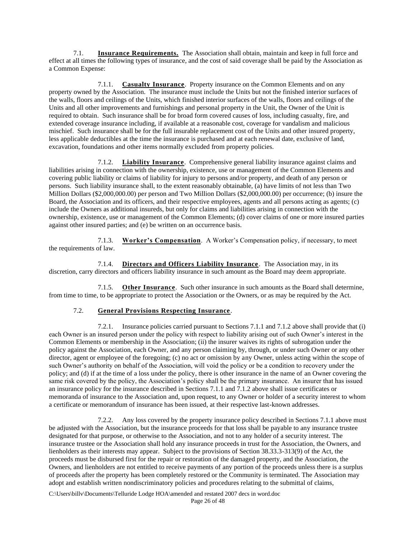7.1. **Insurance Requirements.** The Association shall obtain, maintain and keep in full force and effect at all times the following types of insurance, and the cost of said coverage shall be paid by the Association as a Common Expense:

7.1.1. **Casualty Insurance**. Property insurance on the Common Elements and on any property owned by the Association. The insurance must include the Units but not the finished interior surfaces of the walls, floors and ceilings of the Units, which finished interior surfaces of the walls, floors and ceilings of the Units and all other improvements and furnishings and personal property in the Unit, the Owner of the Unit is required to obtain. Such insurance shall be for broad form covered causes of loss, including casualty, fire, and extended coverage insurance including, if available at a reasonable cost, coverage for vandalism and malicious mischief. Such insurance shall be for the full insurable replacement cost of the Units and other insured property, less applicable deductibles at the time the insurance is purchased and at each renewal date, exclusive of land, excavation, foundations and other items normally excluded from property policies.

7.1.2. **Liability Insurance**. Comprehensive general liability insurance against claims and liabilities arising in connection with the ownership, existence, use or management of the Common Elements and covering public liability or claims of liability for injury to persons and/or property, and death of any person or persons. Such liability insurance shall, to the extent reasonably obtainable, (a) have limits of not less than Two Million Dollars (\$2,000,000.00) per person and Two Million Dollars (\$2,000,000.00) per occurrence; (b) insure the Board, the Association and its officers, and their respective employees, agents and all persons acting as agents; (c) include the Owners as additional insureds, but only for claims and liabilities arising in connection with the ownership, existence, use or management of the Common Elements; (d) cover claims of one or more insured parties against other insured parties; and (e) be written on an occurrence basis.

7.1.3. **Worker's Compensation**. A Worker's Compensation policy, if necessary, to meet the requirements of law.

7.1.4. **Directors and Officers Liability Insurance**. The Association may, in its discretion, carry directors and officers liability insurance in such amount as the Board may deem appropriate.

7.1.5. **Other Insurance**. Such other insurance in such amounts as the Board shall determine, from time to time, to be appropriate to protect the Association or the Owners, or as may be required by the Act.

# 7.2. **General Provisions Respecting Insurance**.

7.2.1. Insurance policies carried pursuant to Sections 7.1.1 and 7.1.2 above shall provide that (i) each Owner is an insured person under the policy with respect to liability arising out of such Owner's interest in the Common Elements or membership in the Association; (ii) the insurer waives its rights of subrogation under the policy against the Association, each Owner, and any person claiming by, through, or under such Owner or any other director, agent or employee of the foregoing; (c) no act or omission by any Owner, unless acting within the scope of such Owner's authority on behalf of the Association, will void the policy or be a condition to recovery under the policy; and (d) if at the time of a loss under the policy, there is other insurance in the name of an Owner covering the same risk covered by the policy, the Association's policy shall be the primary insurance. An insurer that has issued an insurance policy for the insurance described in Sections 7.1.1 and 7.1.2 above shall issue certificates or memoranda of insurance to the Association and, upon request, to any Owner or holder of a security interest to whom a certificate or memorandum of insurance has been issued, at their respective last-known addresses.

7.2.2. Any loss covered by the property insurance policy described in Sections 7.1.1 above must be adjusted with the Association, but the insurance proceeds for that loss shall be payable to any insurance trustee designated for that purpose, or otherwise to the Association, and not to any holder of a security interest. The insurance trustee or the Association shall hold any insurance proceeds in trust for the Association, the Owners, and lienholders as their interests may appear. Subject to the provisions of Section 38.33.3-313(9) of the Act, the proceeds must be disbursed first for the repair or restoration of the damaged property, and the Association, the Owners, and lienholders are not entitled to receive payments of any portion of the proceeds unless there is a surplus of proceeds after the property has been completely restored or the Community is terminated. The Association may adopt and establish written nondiscriminatory policies and procedures relating to the submittal of claims,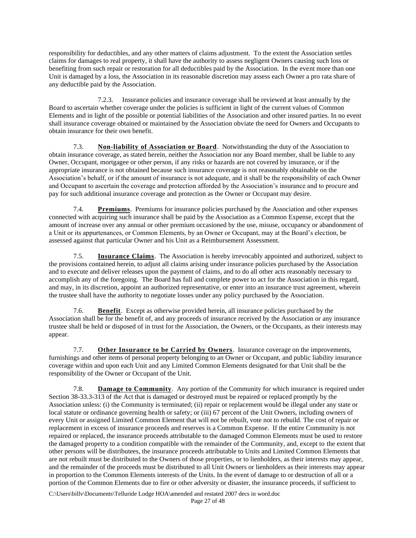responsibility for deductibles, and any other matters of claims adjustment. To the extent the Association settles claims for damages to real property, it shall have the authority to assess negligent Owners causing such loss or benefiting from such repair or restoration for all deductibles paid by the Association. In the event more than one Unit is damaged by a loss, the Association in its reasonable discretion may assess each Owner a pro rata share of any deductible paid by the Association.

7.2.3. Insurance policies and insurance coverage shall be reviewed at least annually by the Board to ascertain whether coverage under the policies is sufficient in light of the current values of Common Elements and in light of the possible or potential liabilities of the Association and other insured parties. In no event shall insurance coverage obtained or maintained by the Association obviate the need for Owners and Occupants to obtain insurance for their own benefit.

7.3. **Non-liability of Association or Board**. Notwithstanding the duty of the Association to obtain insurance coverage, as stated herein, neither the Association nor any Board member, shall be liable to any Owner, Occupant, mortgagee or other person, if any risks or hazards are not covered by insurance, or if the appropriate insurance is not obtained because such insurance coverage is not reasonably obtainable on the Association's behalf, or if the amount of insurance is not adequate, and it shall be the responsibility of each Owner and Occupant to ascertain the coverage and protection afforded by the Association's insurance and to procure and pay for such additional insurance coverage and protection as the Owner or Occupant may desire.

7.4. **Premiums**. Premiums for insurance policies purchased by the Association and other expenses connected with acquiring such insurance shall be paid by the Association as a Common Expense, except that the amount of increase over any annual or other premium occasioned by the use, misuse, occupancy or abandonment of a Unit or its appurtenances, or Common Elements, by an Owner or Occupant, may at the Board's election, be assessed against that particular Owner and his Unit as a Reimbursement Assessment.

7.5. **Insurance Claims**. The Association is hereby irrevocably appointed and authorized, subject to the provisions contained herein, to adjust all claims arising under insurance policies purchased by the Association and to execute and deliver releases upon the payment of claims, and to do all other acts reasonably necessary to accomplish any of the foregoing. The Board has full and complete power to act for the Association in this regard, and may, in its discretion, appoint an authorized representative, or enter into an insurance trust agreement, wherein the trustee shall have the authority to negotiate losses under any policy purchased by the Association.

7.6. **Benefit**. Except as otherwise provided herein, all insurance policies purchased by the Association shall be for the benefit of, and any proceeds of insurance received by the Association or any insurance trustee shall be held or disposed of in trust for the Association, the Owners, or the Occupants, as their interests may appear.

7.7. **Other Insurance to be Carried by Owners**. Insurance coverage on the improvements, furnishings and other items of personal property belonging to an Owner or Occupant, and public liability insurance coverage within and upon each Unit and any Limited Common Elements designated for that Unit shall be the responsibility of the Owner or Occupant of the Unit.

7.8. **Damage to Community**. Any portion of the Community for which insurance is required under Section 38-33.3-313 of the Act that is damaged or destroyed must be repaired or replaced promptly by the Association unless: (i) the Community is terminated; (ii) repair or replacement would be illegal under any state or local statute or ordinance governing health or safety; or (iii) 67 percent of the Unit Owners, including owners of every Unit or assigned Limited Common Element that will not be rebuilt, vote not to rebuild. The cost of repair or replacement in excess of insurance proceeds and reserves is a Common Expense. If the entire Community is not repaired or replaced, the insurance proceeds attributable to the damaged Common Elements must be used to restore the damaged property to a condition compatible with the remainder of the Community, and, except to the extent that other persons will be distributees, the insurance proceeds attributable to Units and Limited Common Elements that are not rebuilt must be distributed to the Owners of those properties, or to lienholders, as their interests may appear, and the remainder of the proceeds must be distributed to all Unit Owners or lienholders as their interests may appear in proportion to the Common Elements interests of the Units. In the event of damage to or destruction of all or a portion of the Common Elements due to fire or other adversity or disaster, the insurance proceeds, if sufficient to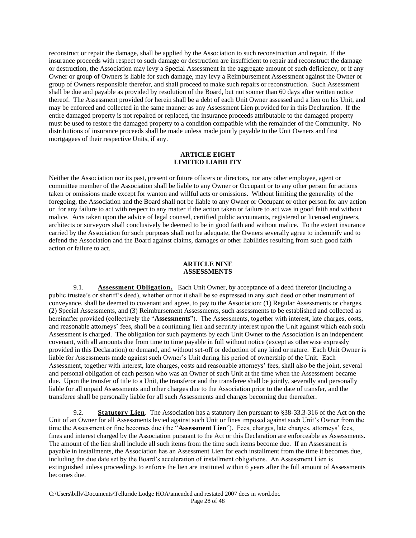reconstruct or repair the damage, shall be applied by the Association to such reconstruction and repair. If the insurance proceeds with respect to such damage or destruction are insufficient to repair and reconstruct the damage or destruction, the Association may levy a Special Assessment in the aggregate amount of such deficiency, or if any Owner or group of Owners is liable for such damage, may levy a Reimbursement Assessment against the Owner or group of Owners responsible therefor, and shall proceed to make such repairs or reconstruction. Such Assessment shall be due and payable as provided by resolution of the Board, but not sooner than 60 days after written notice thereof. The Assessment provided for herein shall be a debt of each Unit Owner assessed and a lien on his Unit, and may be enforced and collected in the same manner as any Assessment Lien provided for in this Declaration. If the entire damaged property is not repaired or replaced, the insurance proceeds attributable to the damaged property must be used to restore the damaged property to a condition compatible with the remainder of the Community. No distributions of insurance proceeds shall be made unless made jointly payable to the Unit Owners and first mortgagees of their respective Units, if any.

#### **ARTICLE EIGHT LIMITED LIABILITY**

Neither the Association nor its past, present or future officers or directors, nor any other employee, agent or committee member of the Association shall be liable to any Owner or Occupant or to any other person for actions taken or omissions made except for wanton and willful acts or omissions. Without limiting the generality of the foregoing, the Association and the Board shall not be liable to any Owner or Occupant or other person for any action or for any failure to act with respect to any matter if the action taken or failure to act was in good faith and without malice. Acts taken upon the advice of legal counsel, certified public accountants, registered or licensed engineers, architects or surveyors shall conclusively be deemed to be in good faith and without malice. To the extent insurance carried by the Association for such purposes shall not be adequate, the Owners severally agree to indemnify and to defend the Association and the Board against claims, damages or other liabilities resulting from such good faith action or failure to act.

## **ARTICLE NINE ASSESSMENTS**

9.1. **Assessment Obligation.** Each Unit Owner, by acceptance of a deed therefor (including a public trustee's or sheriff's deed), whether or not it shall be so expressed in any such deed or other instrument of conveyance, shall be deemed to covenant and agree, to pay to the Association: (1) Regular Assessments or charges, (2) Special Assessments, and (3) Reimbursement Assessments, such assessments to be established and collected as hereinafter provided (collectively the "**Assessments**"). The Assessments, together with interest, late charges, costs, and reasonable attorneys' fees, shall be a continuing lien and security interest upon the Unit against which each such Assessment is charged. The obligation for such payments by each Unit Owner to the Association is an independent covenant, with all amounts due from time to time payable in full without notice (except as otherwise expressly provided in this Declaration) or demand, and without set-off or deduction of any kind or nature. Each Unit Owner is liable for Assessments made against such Owner's Unit during his period of ownership of the Unit. Each Assessment, together with interest, late charges, costs and reasonable attorneys' fees, shall also be the joint, several and personal obligation of each person who was an Owner of such Unit at the time when the Assessment became due. Upon the transfer of title to a Unit, the transferor and the transferee shall be jointly, severally and personally liable for all unpaid Assessments and other charges due to the Association prior to the date of transfer, and the transferee shall be personally liable for all such Assessments and charges becoming due thereafter.

9.2. **Statutory Lien**. The Association has a statutory lien pursuant to §38-33.3-316 of the Act on the Unit of an Owner for all Assessments levied against such Unit or fines imposed against such Unit's Owner from the time the Assessment or fine becomes due (the "**Assessment Lien**"). Fees, charges, late charges, attorneys' fees, fines and interest charged by the Association pursuant to the Act or this Declaration are enforceable as Assessments. The amount of the lien shall include all such items from the time such items become due. If an Assessment is payable in installments, the Association has an Assessment Lien for each installment from the time it becomes due, including the due date set by the Board's acceleration of installment obligations. An Assessment Lien is extinguished unless proceedings to enforce the lien are instituted within 6 years after the full amount of Assessments becomes due.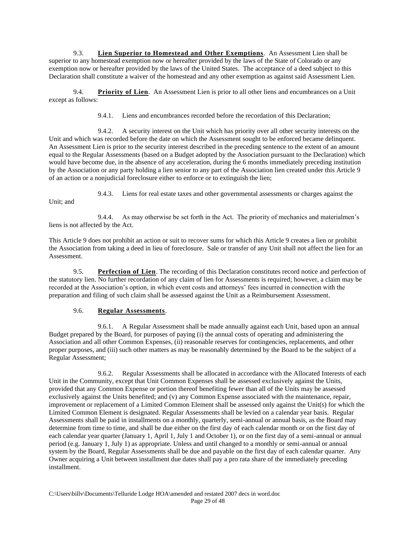9.3. **Lien Superior to Homestead and Other Exemptions**. An Assessment Lien shall be superior to any homestead exemption now or hereafter provided by the laws of the State of Colorado or any exemption now or hereafter provided by the laws of the United States. The acceptance of a deed subject to this Declaration shall constitute a waiver of the homestead and any other exemption as against said Assessment Lien.

9.4. **Priority of Lien**. An Assessment Lien is prior to all other liens and encumbrances on a Unit except as follows:

9.4.1. Liens and encumbrances recorded before the recordation of this Declaration;

9.4.2. A security interest on the Unit which has priority over all other security interests on the Unit and which was recorded before the date on which the Assessment sought to be enforced became delinquent. An Assessment Lien is prior to the security interest described in the preceding sentence to the extent of an amount equal to the Regular Assessments (based on a Budget adopted by the Association pursuant to the Declaration) which would have become due, in the absence of any acceleration, during the 6 months immediately preceding institution by the Association or any party holding a lien senior to any part of the Association lien created under this Article 9 of an action or a nonjudicial foreclosure either to enforce or to extinguish the lien;

Unit; and

9.4.3. Liens for real estate taxes and other governmental assessments or charges against the

9.4.4. As may otherwise be set forth in the Act. The priority of mechanics and materialmen's liens is not affected by the Act.

This Article 9 does not prohibit an action or suit to recover sums for which this Article 9 creates a lien or prohibit the Association from taking a deed in lieu of foreclosure. Sale or transfer of any Unit shall not affect the lien for an Assessment.

9.5. **Perfection of Lien**. The recording of this Declaration constitutes record notice and perfection of the statutory lien. No further recordation of any claim of lien for Assessments is required; however, a claim may be recorded at the Association's option, in which event costs and attorneys' fees incurred in connection with the preparation and filing of such claim shall be assessed against the Unit as a Reimbursement Assessment.

# 9.6. **Regular Assessments**.

9.6.1. A Regular Assessment shall be made annually against each Unit, based upon an annual Budget prepared by the Board, for purposes of paying (i) the annual costs of operating and administering the Association and all other Common Expenses, (ii) reasonable reserves for contingencies, replacements, and other proper purposes, and (iii) such other matters as may be reasonably determined by the Board to be the subject of a Regular Assessment;

9.6.2. Regular Assessments shall be allocated in accordance with the Allocated Interests of each Unit in the Community, except that Unit Common Expenses shall be assessed exclusively against the Units, provided that any Common Expense or portion thereof benefiting fewer than all of the Units may be assessed exclusively against the Units benefited; and (v) any Common Expense associated with the maintenance, repair, improvement or replacement of a Limited Common Element shall be assessed only against the Unit(s) for which the Limited Common Element is designated. Regular Assessments shall be levied on a calendar year basis. Regular Assessments shall be paid in installments on a monthly, quarterly, semi-annual or annual basis, as the Board may determine from time to time, and shall be due either on the first day of each calendar month or on the first day of each calendar year quarter (January 1, April 1, July 1 and October 1), or on the first day of a semi-annual or annual period (e.g. January 1, July 1) as appropriate. Unless and until changed to a monthly or semi-annual or annual system by the Board, Regular Assessments shall be due and payable on the first day of each calendar quarter. Any Owner acquiring a Unit between installment due dates shall pay a pro rata share of the immediately preceding installment.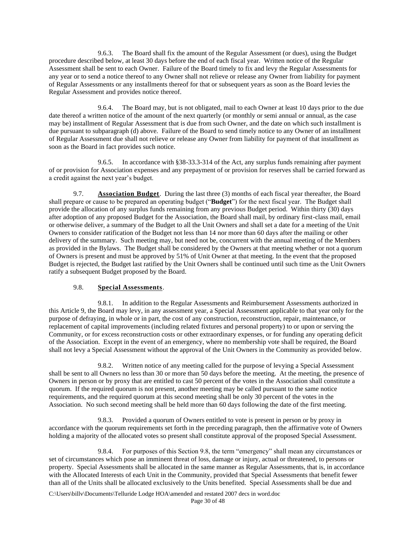9.6.3. The Board shall fix the amount of the Regular Assessment (or dues), using the Budget procedure described below, at least 30 days before the end of each fiscal year. Written notice of the Regular Assessment shall be sent to each Owner. Failure of the Board timely to fix and levy the Regular Assessments for any year or to send a notice thereof to any Owner shall not relieve or release any Owner from liability for payment of Regular Assessments or any installments thereof for that or subsequent years as soon as the Board levies the Regular Assessment and provides notice thereof.

9.6.4. The Board may, but is not obligated, mail to each Owner at least 10 days prior to the due date thereof a written notice of the amount of the next quarterly (or monthly or semi annual or annual, as the case may be) installment of Regular Assessment that is due from such Owner, and the date on which such installment is due pursuant to subparagraph (d) above. Failure of the Board to send timely notice to any Owner of an installment of Regular Assessment due shall not relieve or release any Owner from liability for payment of that installment as soon as the Board in fact provides such notice.

9.6.5. In accordance with §38-33.3-314 of the Act, any surplus funds remaining after payment of or provision for Association expenses and any prepayment of or provision for reserves shall be carried forward as a credit against the next year's budget.

9.7. **Association Budget**. During the last three (3) months of each fiscal year thereafter, the Board shall prepare or cause to be prepared an operating budget ("**Budget**") for the next fiscal year. The Budget shall provide the allocation of any surplus funds remaining from any previous Budget period. Within thirty (30) days after adoption of any proposed Budget for the Association, the Board shall mail, by ordinary first-class mail, email or otherwise deliver, a summary of the Budget to all the Unit Owners and shall set a date for a meeting of the Unit Owners to consider ratification of the Budget not less than 14 nor more than 60 days after the mailing or other delivery of the summary. Such meeting may, but need not be, concurrent with the annual meeting of the Members as provided in the Bylaws. The Budget shall be considered by the Owners at that meeting whether or not a quorum of Owners is present and must be approved by 51% of Unit Owner at that meeting. In the event that the proposed Budget is rejected, the Budget last ratified by the Unit Owners shall be continued until such time as the Unit Owners ratify a subsequent Budget proposed by the Board.

# 9.8. **Special Assessments**.

9.8.1. In addition to the Regular Assessments and Reimbursement Assessments authorized in this Article 9, the Board may levy, in any assessment year, a Special Assessment applicable to that year only for the purpose of defraying, in whole or in part, the cost of any construction, reconstruction, repair, maintenance, or replacement of capital improvements (including related fixtures and personal property) to or upon or serving the Community, or for excess reconstruction costs or other extraordinary expenses, or for funding any operating deficit of the Association. Except in the event of an emergency, where no membership vote shall be required, the Board shall not levy a Special Assessment without the approval of the Unit Owners in the Community as provided below.

9.8.2. Written notice of any meeting called for the purpose of levying a Special Assessment shall be sent to all Owners no less than 30 or more than 50 days before the meeting. At the meeting, the presence of Owners in person or by proxy that are entitled to cast 50 percent of the votes in the Association shall constitute a quorum. If the required quorum is not present, another meeting may be called pursuant to the same notice requirements, and the required quorum at this second meeting shall be only 30 percent of the votes in the Association. No such second meeting shall be held more than 60 days following the date of the first meeting.

9.8.3. Provided a quorum of Owners entitled to vote is present in person or by proxy in accordance with the quorum requirements set forth in the preceding paragraph, then the affirmative vote of Owners holding a majority of the allocated votes so present shall constitute approval of the proposed Special Assessment.

9.8.4. For purposes of this Section 9.8, the term "emergency" shall mean any circumstances or set of circumstances which pose an imminent threat of loss, damage or injury, actual or threatened, to persons or property. Special Assessments shall be allocated in the same manner as Regular Assessments, that is, in accordance with the Allocated Interests of each Unit in the Community, provided that Special Assessments that benefit fewer than all of the Units shall be allocated exclusively to the Units benefited. Special Assessments shall be due and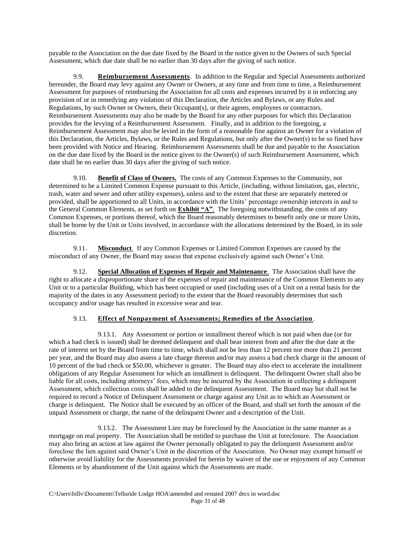payable to the Association on the due date fixed by the Board in the notice given to the Owners of such Special Assessment, which due date shall be no earlier than 30 days after the giving of such notice.

9.9. **Reimbursement Assessments**. In addition to the Regular and Special Assessments authorized hereunder, the Board may levy against any Owner or Owners, at any time and from time to time, a Reimbursement Assessment for purposes of reimbursing the Association for all costs and expenses incurred by it in enforcing any provision of or in remedying any violation of this Declaration, the Articles and Bylaws, or any Rules and Regulations, by such Owner or Owners, their Occupant(s), or their agents, employees or contractors. Reimbursement Assessments may also be made by the Board for any other purposes for which this Declaration provides for the levying of a Reimbursement Assessment. Finally, and in addition to the foregoing, a Reimbursement Assessment may also be levied in the form of a reasonable fine against an Owner for a violation of this Declaration, the Articles, Bylaws, or the Rules and Regulations, but only after the Owner(s) to be so fined have been provided with Notice and Hearing. Reimbursement Assessments shall be due and payable to the Association on the due date fixed by the Board in the notice given to the Owner(s) of such Reimbursement Assessment, which date shall be no earlier than 30 days after the giving of such notice.

9.10. **Benefit of Class of Owners.** The costs of any Common Expenses to the Community, not determined to be a Limited Common Expense pursuant to this Article, (including, without limitation, gas, electric, trash, water and sewer and other utility expenses), unless and to the extent that these are separately metered or provided, shall be apportioned to all Units, in accordance with the Units' percentage ownership interests in and to the General Common Elements, as set forth on **Exhibit "A"**. The foregoing notwithstanding, the costs of any Common Expenses, or portions thereof, which the Board reasonably determines to benefit only one or more Units, shall be borne by the Unit or Units involved, in accordance with the allocations determined by the Board, in its sole discretion.

9.11. **Misconduct**. If any Common Expenses or Limited Common Expenses are caused by the misconduct of any Owner, the Board may assess that expense exclusively against such Owner's Unit.

9.12. **Special Allocation of Expenses of Repair and Maintenance**. The Association shall have the right to allocate a disproportionate share of the expenses of repair and maintenance of the Common Elements to any Unit or to a particular Building, which has been occupied or used (including uses of a Unit on a rental basis for the majority of the dates in any Assessment period) to the extent that the Board reasonably determines that such occupancy and/or usage has resulted in excessive wear and tear.

# 9.13. **Effect of Nonpayment of Assessments; Remedies of the Association**.

9.13.1. Any Assessment or portion or installment thereof which is not paid when due (or for which a bad check is issued) shall be deemed delinquent and shall bear interest from and after the due date at the rate of interest set by the Board from time to time, which shall not be less than 12 percent nor more than 21 percent per year, and the Board may also assess a late charge thereon and/or may assess a bad check charge in the amount of 10 percent of the bad check or \$50.00, whichever is greater. The Board may also elect to accelerate the installment obligations of any Regular Assessment for which an installment is delinquent. The delinquent Owner shall also be liable for all costs, including attorneys' fees, which may be incurred by the Association in collecting a delinquent Assessment, which collection costs shall be added to the delinquent Assessment. The Board may but shall not be required to record a Notice of Delinquent Assessment or charge against any Unit as to which an Assessment or charge is delinquent. The Notice shall be executed by an officer of the Board, and shall set forth the amount of the unpaid Assessment or charge, the name of the delinquent Owner and a description of the Unit.

9.13.2. The Assessment Lien may be foreclosed by the Association in the same manner as a mortgage on real property. The Association shall be entitled to purchase the Unit at foreclosure. The Association may also bring an action at law against the Owner personally obligated to pay the delinquent Assessment and/or foreclose the lien against said Owner's Unit in the discretion of the Association. No Owner may exempt himself or otherwise avoid liability for the Assessments provided for herein by waiver of the use or enjoyment of any Common Elements or by abandonment of the Unit against which the Assessments are made.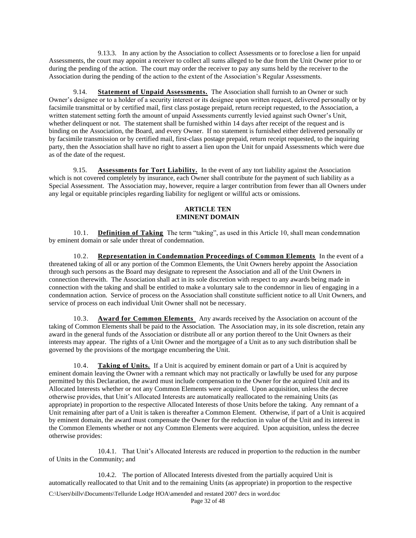9.13.3. In any action by the Association to collect Assessments or to foreclose a lien for unpaid Assessments, the court may appoint a receiver to collect all sums alleged to be due from the Unit Owner prior to or during the pending of the action. The court may order the receiver to pay any sums held by the receiver to the Association during the pending of the action to the extent of the Association's Regular Assessments.

9.14. **Statement of Unpaid Assessments.** The Association shall furnish to an Owner or such Owner's designee or to a holder of a security interest or its designee upon written request, delivered personally or by facsimile transmittal or by certified mail, first class postage prepaid, return receipt requested, to the Association, a written statement setting forth the amount of unpaid Assessments currently levied against such Owner's Unit, whether delinquent or not. The statement shall be furnished within 14 days after receipt of the request and is binding on the Association, the Board, and every Owner. If no statement is furnished either delivered personally or by facsimile transmission or by certified mail, first-class postage prepaid, return receipt requested, to the inquiring party, then the Association shall have no right to assert a lien upon the Unit for unpaid Assessments which were due as of the date of the request.

9.15. **Assessments for Tort Liability.** In the event of any tort liability against the Association which is not covered completely by insurance, each Owner shall contribute for the payment of such liability as a Special Assessment. The Association may, however, require a larger contribution from fewer than all Owners under any legal or equitable principles regarding liability for negligent or willful acts or omissions.

## **ARTICLE TEN EMINENT DOMAIN**

10.1. **Definition of Taking** The term "taking", as used in this Article 10, shall mean condemnation by eminent domain or sale under threat of condemnation.

10.2. **Representation in Condemnation Proceedings of Common Elements** In the event of a threatened taking of all or any portion of the Common Elements, the Unit Owners hereby appoint the Association through such persons as the Board may designate to represent the Association and all of the Unit Owners in connection therewith. The Association shall act in its sole discretion with respect to any awards being made in connection with the taking and shall be entitled to make a voluntary sale to the condemnor in lieu of engaging in a condemnation action. Service of process on the Association shall constitute sufficient notice to all Unit Owners, and service of process on each individual Unit Owner shall not be necessary.

10.3. **Award for Common Elements** Any awards received by the Association on account of the taking of Common Elements shall be paid to the Association. The Association may, in its sole discretion, retain any award in the general funds of the Association or distribute all or any portion thereof to the Unit Owners as their interests may appear. The rights of a Unit Owner and the mortgagee of a Unit as to any such distribution shall be governed by the provisions of the mortgage encumbering the Unit.

10.4. **Taking of Units.** If a Unit is acquired by eminent domain or part of a Unit is acquired by eminent domain leaving the Owner with a remnant which may not practically or lawfully be used for any purpose permitted by this Declaration, the award must include compensation to the Owner for the acquired Unit and its Allocated Interests whether or not any Common Elements were acquired. Upon acquisition, unless the decree otherwise provides, that Unit's Allocated Interests are automatically reallocated to the remaining Units (as appropriate) in proportion to the respective Allocated Interests of those Units before the taking. Any remnant of a Unit remaining after part of a Unit is taken is thereafter a Common Element. Otherwise, if part of a Unit is acquired by eminent domain, the award must compensate the Owner for the reduction in value of the Unit and its interest in the Common Elements whether or not any Common Elements were acquired. Upon acquisition, unless the decree otherwise provides:

10.4.1. That Unit's Allocated Interests are reduced in proportion to the reduction in the number of Units in the Community; and

10.4.2. The portion of Allocated Interests divested from the partially acquired Unit is automatically reallocated to that Unit and to the remaining Units (as appropriate) in proportion to the respective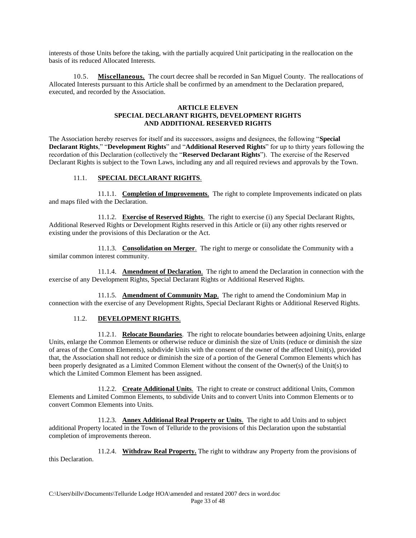interests of those Units before the taking, with the partially acquired Unit participating in the reallocation on the basis of its reduced Allocated Interests.

10.5. **Miscellaneous.** The court decree shall be recorded in San Miguel County. The reallocations of Allocated Interests pursuant to this Article shall be confirmed by an amendment to the Declaration prepared, executed, and recorded by the Association.

### **ARTICLE ELEVEN SPECIAL DECLARANT RIGHTS, DEVELOPMENT RIGHTS AND ADDITIONAL RESERVED RIGHTS**

The Association hereby reserves for itself and its successors, assigns and designees, the following "**Special Declarant Rights**," "**Development Rights**" and "**Additional Reserved Rights**" for up to thirty years following the recordation of this Declaration (collectively the "**Reserved Declarant Rights**"). The exercise of the Reserved Declarant Rights is subject to the Town Laws, including any and all required reviews and approvals by the Town.

# 11.1. **SPECIAL DECLARANT RIGHTS**.

11.1.1. **Completion of Improvements**. The right to complete Improvements indicated on plats and maps filed with the Declaration.

11.1.2. **Exercise of Reserved Rights**. The right to exercise (i) any Special Declarant Rights, Additional Reserved Rights or Development Rights reserved in this Article or (ii) any other rights reserved or existing under the provisions of this Declaration or the Act.

11.1.3. **Consolidation on Merger**. The right to merge or consolidate the Community with a similar common interest community.

11.1.4. **Amendment of Declaration**. The right to amend the Declaration in connection with the exercise of any Development Rights, Special Declarant Rights or Additional Reserved Rights.

11.1.5. **Amendment of Community Map**. The right to amend the Condominium Map in connection with the exercise of any Development Rights, Special Declarant Rights or Additional Reserved Rights.

# 11.2. **DEVELOPMENT RIGHTS**.

11.2.1. **Relocate Boundaries**. The right to relocate boundaries between adjoining Units, enlarge Units, enlarge the Common Elements or otherwise reduce or diminish the size of Units (reduce or diminish the size of areas of the Common Elements), subdivide Units with the consent of the owner of the affected Unit(s), provided that, the Association shall not reduce or diminish the size of a portion of the General Common Elements which has been properly designated as a Limited Common Element without the consent of the Owner(s) of the Unit(s) to which the Limited Common Element has been assigned.

11.2.2. **Create Additional Units**. The right to create or construct additional Units, Common Elements and Limited Common Elements, to subdivide Units and to convert Units into Common Elements or to convert Common Elements into Units.

11.2.3. **Annex Additional Real Property or Units**. The right to add Units and to subject additional Property located in the Town of Telluride to the provisions of this Declaration upon the substantial completion of improvements thereon.

11.2.4. **Withdraw Real Property.** The right to withdraw any Property from the provisions of this Declaration.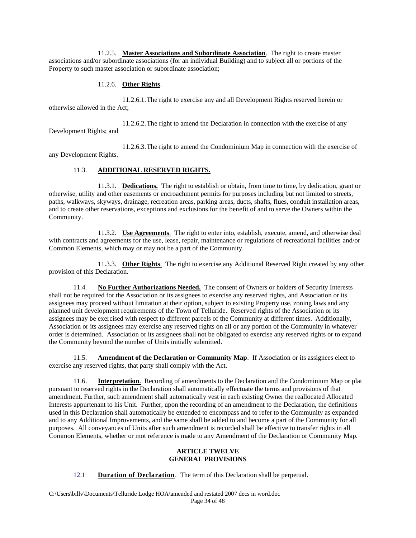11.2.5. **Master Associations and Subordinate Association**. The right to create master associations and/or subordinate associations (for an individual Building) and to subject all or portions of the Property to such master association or subordinate association;

# 11.2.6. **Other Rights**.

11.2.6.1.The right to exercise any and all Development Rights reserved herein or otherwise allowed in the Act;

11.2.6.2.The right to amend the Declaration in connection with the exercise of any Development Rights; and

11.2.6.3.The right to amend the Condominium Map in connection with the exercise of any Development Rights.

# 11.3. **ADDITIONAL RESERVED RIGHTS.**

11.3.1. **Dedications.** The right to establish or obtain, from time to time, by dedication, grant or otherwise, utility and other easements or encroachment permits for purposes including but not limited to streets, paths, walkways, skyways, drainage, recreation areas, parking areas, ducts, shafts, flues, conduit installation areas, and to create other reservations, exceptions and exclusions for the benefit of and to serve the Owners within the Community.

11.3.2. **Use Agreements**. The right to enter into, establish, execute, amend, and otherwise deal with contracts and agreements for the use, lease, repair, maintenance or regulations of recreational facilities and/or Common Elements, which may or may not be a part of the Community.

11.3.3. **Other Rights**. The right to exercise any Additional Reserved Right created by any other provision of this Declaration.

11.4. **No Further Authorizations Needed.** The consent of Owners or holders of Security Interests shall not be required for the Association or its assignees to exercise any reserved rights, and Association or its assignees may proceed without limitation at their option, subject to existing Property use, zoning laws and any planned unit development requirements of the Town of Telluride. Reserved rights of the Association or its assignees may be exercised with respect to different parcels of the Community at different times. Additionally, Association or its assignees may exercise any reserved rights on all or any portion of the Community in whatever order is determined. Association or its assignees shall not be obligated to exercise any reserved rights or to expand the Community beyond the number of Units initially submitted.

11.5. **Amendment of the Declaration or Community Map**. If Association or its assignees elect to exercise any reserved rights, that party shall comply with the Act.

11.6. **Interpretation**. Recording of amendments to the Declaration and the Condominium Map or plat pursuant to reserved rights in the Declaration shall automatically effectuate the terms and provisions of that amendment. Further, such amendment shall automatically vest in each existing Owner the reallocated Allocated Interests appurtenant to his Unit. Further, upon the recording of an amendment to the Declaration, the definitions used in this Declaration shall automatically be extended to encompass and to refer to the Community as expanded and to any Additional Improvements, and the same shall be added to and become a part of the Community for all purposes. All conveyances of Units after such amendment is recorded shall be effective to transfer rights in all Common Elements, whether or mot reference is made to any Amendment of the Declaration or Community Map.

#### **ARTICLE TWELVE GENERAL PROVISIONS**

# 12.1 **Duration of Declaration**. The term of this Declaration shall be perpetual.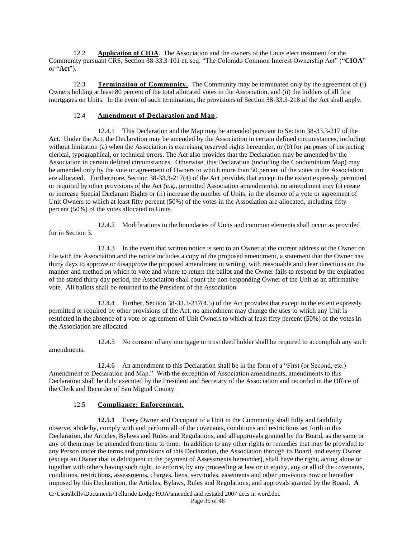12.2 **Application of CIOA**. The Association and the owners of the Units elect treatment for the Community pursuant CRS, Section 38-33.3-101 et. seq. "The Colorado Common Interest Ownership Act" ("**CIOA**" or "**Act**").

12.3 **Termination of Community.** The Community may be terminated only by the agreement of (i) Owners holding at least 80 percent of the total allocated votes in the Association, and (ii) the holders of all first mortgages on Units. In the event of such termination, the provisions of Section 38-33.3-218 of the Act shall apply.

## 12.4 **Amendment of Declaration and Map**.

12.4.1 This Declaration and the Map may be amended pursuant to Section 38-33.3-217 of the Act. Under the Act, the Declaration may be amended by the Association in certain defined circumstances, including without limitation (a) when the Association is exercising reserved rights hereunder, or (b) for purposes of correcting clerical, typographical, or technical errors. The Act also provides that the Declaration may be amended by the Association in certain defined circumstances. Otherwise, this Declaration (including the Condominium Map) may be amended only by the vote or agreement of Owners to which more than 50 percent of the votes in the Association are allocated. Furthermore, Section 38-33.3-217(4) of the Act provides that except to the extent expressly permitted or required by other provisions of the Act (e.g., permitted Association amendments), no amendment may (i) create or increase Special Declarant Rights or (ii) increase the number of Units, in the absence of a vote or agreement of Unit Owners to which at least fifty percent (50%) of the votes in the Association are allocated, including fifty percent (50%) of the votes allocated to Units.

12.4.2 Modifications to the boundaries of Units and common elements shall occur as provided for in Section 3.

12.4.3 In the event that written notice is sent to an Owner at the current address of the Owner on file with the Association and the notice includes a copy of the proposed amendment, a statement that the Owner has thirty days to approve or disapprove the proposed amendment in writing, with reasonable and clear directions on the manner and method on which to vote and where to return the ballot and the Owner fails to respond by the expiration of the stated thirty day period, the Association shall count the non-responding Owner of the Unit as an affirmative vote. All ballots shall be returned to the President of the Association.

12.4.4 Further, Section 38-33.3-217(4.5) of the Act provides that except to the extent expressly permitted or required by other provisions of the Act, no amendment may change the uses to which any Unit is restricted in the absence of a vote or agreement of Unit Owners to which at least fifty percent (50%) of the votes in the Association are allocated.

12.4.5 No consent of any mortgage or trust deed holder shall be required to accomplish any such amendments.

12.4.6 An amendment to this Declaration shall be in the form of a "First (or Second, etc.) Amendment to Declaration and Map." With the exception of Association amendments, amendments to this Declaration shall be duly executed by the President and Secretary of the Association and recorded in the Office of the Clerk and Recorder of San Miguel County.

### 12.5 **Compliance; Enforcement.**

**12.5.1** Every Owner and Occupant of a Unit in the Community shall fully and faithfully observe, abide by, comply with and perform all of the covenants, conditions and restrictions set forth in this Declaration, the Articles, Bylaws and Rules and Regulations, and all approvals granted by the Board, as the same or any of them may be amended from time to time. In addition to any other rights or remedies that may be provided to any Person under the terms and provisions of this Declaration, the Association through its Board, and every Owner (except an Owner that is delinquent in the payment of Assessments hereunder), shall have the right, acting alone or together with others having such right, to enforce, by any proceeding at law or in equity, any or all of the covenants, conditions, restrictions, assessments, charges, liens, servitudes, easements and other provisions now or hereafter imposed by this Declaration, the Articles, Bylaws, Rules and Regulations, and approvals granted by the Board. **A**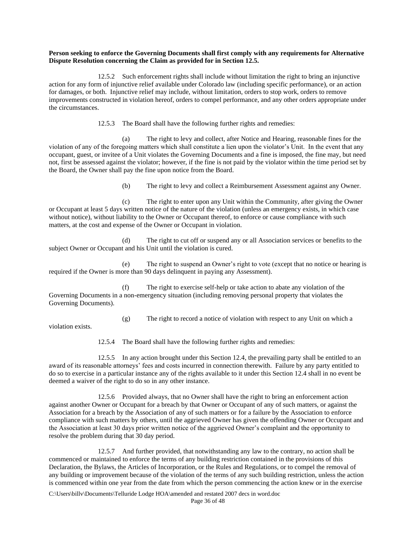### **Person seeking to enforce the Governing Documents shall first comply with any requirements for Alternative Dispute Resolution concerning the Claim as provided for in Section 12.5.**

12.5.2 Such enforcement rights shall include without limitation the right to bring an injunctive action for any form of injunctive relief available under Colorado law (including specific performance), or an action for damages, or both. Injunctive relief may include, without limitation, orders to stop work, orders to remove improvements constructed in violation hereof, orders to compel performance, and any other orders appropriate under the circumstances.

12.5.3 The Board shall have the following further rights and remedies:

(a) The right to levy and collect, after Notice and Hearing, reasonable fines for the violation of any of the foregoing matters which shall constitute a lien upon the violator's Unit. In the event that any occupant, guest, or invitee of a Unit violates the Governing Documents and a fine is imposed, the fine may, but need not, first be assessed against the violator; however, if the fine is not paid by the violator within the time period set by the Board, the Owner shall pay the fine upon notice from the Board.

(b) The right to levy and collect a Reimbursement Assessment against any Owner.

(c) The right to enter upon any Unit within the Community, after giving the Owner or Occupant at least 5 days written notice of the nature of the violation (unless an emergency exists, in which case without notice), without liability to the Owner or Occupant thereof, to enforce or cause compliance with such matters, at the cost and expense of the Owner or Occupant in violation.

(d) The right to cut off or suspend any or all Association services or benefits to the subject Owner or Occupant and his Unit until the violation is cured.

(e) The right to suspend an Owner's right to vote (except that no notice or hearing is required if the Owner is more than 90 days delinquent in paying any Assessment).

(f) The right to exercise self-help or take action to abate any violation of the Governing Documents in a non-emergency situation (including removing personal property that violates the Governing Documents).

(g) The right to record a notice of violation with respect to any Unit on which a

violation exists.

12.5.4 The Board shall have the following further rights and remedies:

12.5.5 In any action brought under this Section 12.4, the prevailing party shall be entitled to an award of its reasonable attorneys' fees and costs incurred in connection therewith. Failure by any party entitled to do so to exercise in a particular instance any of the rights available to it under this Section 12.4 shall in no event be deemed a waiver of the right to do so in any other instance.

12.5.6 Provided always, that no Owner shall have the right to bring an enforcement action against another Owner or Occupant for a breach by that Owner or Occupant of any of such matters, or against the Association for a breach by the Association of any of such matters or for a failure by the Association to enforce compliance with such matters by others, until the aggrieved Owner has given the offending Owner or Occupant and the Association at least 30 days prior written notice of the aggrieved Owner's complaint and the opportunity to resolve the problem during that 30 day period.

12.5.7 And further provided, that notwithstanding any law to the contrary, no action shall be commenced or maintained to enforce the terms of any building restriction contained in the provisions of this Declaration, the Bylaws, the Articles of Incorporation, or the Rules and Regulations, or to compel the removal of any building or improvement because of the violation of the terms of any such building restriction, unless the action is commenced within one year from the date from which the person commencing the action knew or in the exercise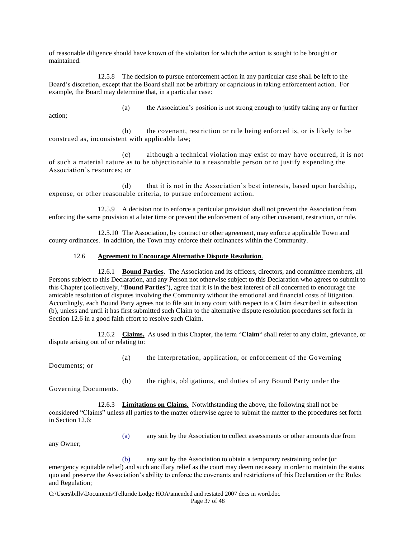of reasonable diligence should have known of the violation for which the action is sought to be brought or maintained.

12.5.8 The decision to pursue enforcement action in any particular case shall be left to the Board's discretion, except that the Board shall not be arbitrary or capricious in taking enforcement action. For example, the Board may determine that, in a particular case:

action;

(a) the Association's position is not strong enough to justify taking any or further

(b) the covenant, restriction or rule being enforced is, or is likely to be construed as, inconsistent with applicable law;

(c) although a technical violation may exist or may have occurred, it is not of such a material nature as to be objectionable to a reasonable person or to justify expending the Association's resources; or

(d) that it is not in the Association's best interests, based upon hardship, expense, or other reasonable criteria, to pursue enforcement action.

12.5.9 A decision not to enforce a particular provision shall not prevent the Association from enforcing the same provision at a later time or prevent the enforcement of any other covenant, restriction, or rule.

12.5.10 The Association, by contract or other agreement, may enforce applicable Town and county ordinances. In addition, the Town may enforce their ordinances within the Community.

#### 12.6 **Agreement to Encourage Alternative Dispute Resolution**.

12.6.1 **Bound Parties**. The Association and its officers, directors, and committee members, all Persons subject to this Declaration, and any Person not otherwise subject to this Declaration who agrees to submit to this Chapter (collectively, "**Bound Parties**"), agree that it is in the best interest of all concerned to encourage the amicable resolution of disputes involving the Community without the emotional and financial costs of litigation. Accordingly, each Bound Party agrees not to file suit in any court with respect to a Claim described in subsection (b), unless and until it has first submitted such Claim to the alternative dispute resolution procedures set forth in Section 12.6 in a good faith effort to resolve such Claim.

12.6.2 **Claims.** As used in this Chapter, the term "**Claim**" shall refer to any claim, grievance, or dispute arising out of or relating to:

Documents; or

(a) the interpretation, application, or enforcement of the Governing

Governing Documents.

(b) the rights, obligations, and duties of any Bound Party under the

12.6.3 **Limitations on Claims.** Notwithstanding the above, the following shall not be considered "Claims" unless all parties to the matter otherwise agree to submit the matter to the procedures set forth in Section 12.6:

any Owner;

(a) any suit by the Association to collect assessments or other amounts due from

(b) any suit by the Association to obtain a temporary restraining order (or emergency equitable relief) and such ancillary relief as the court may deem necessary in order to maintain the status quo and preserve the Association's ability to enforce the covenants and restrictions of this Declaration or the Rules and Regulation;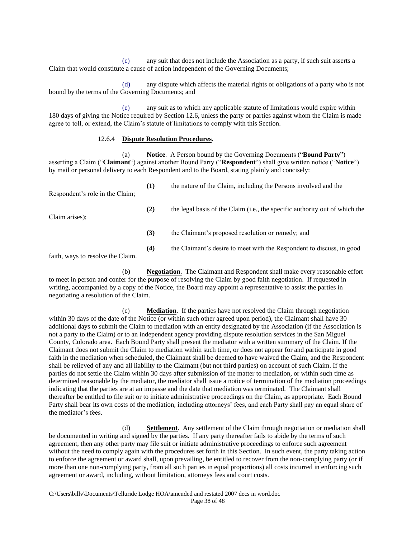(c) any suit that does not include the Association as a party, if such suit asserts a Claim that would constitute a cause of action independent of the Governing Documents;

(d) any dispute which affects the material rights or obligations of a party who is not bound by the terms of the Governing Documents; and

(e) any suit as to which any applicable statute of limitations would expire within 180 days of giving the Notice required by Section 12.6, unless the party or parties against whom the Claim is made agree to toll, or extend, the Claim's statute of limitations to comply with this Section.

## 12.6.4 **Dispute Resolution Procedures**.

(a) **Notice**. A Person bound by the Governing Documents ("**Bound Party**") asserting a Claim ("**Claimant**") against another Bound Party ("**Respondent**") shall give written notice ("**Notice**") by mail or personal delivery to each Respondent and to the Board, stating plainly and concisely:

| Respondent's role in the Claim; | (1) | the nature of the Claim, including the Persons involved and the                      |
|---------------------------------|-----|--------------------------------------------------------------------------------------|
| Claim arises):                  | (2) | the legal basis of the Claim ( <i>i.e.</i> , the specific authority out of which the |
|                                 | (3) | the Claimant's proposed resolution or remedy; and                                    |
|                                 | (4) | the Claimant's desire to meet with the Respondent to discuss, in good                |

faith, ways to resolve the Claim.

(b) **Negotiation**. The Claimant and Respondent shall make every reasonable effort to meet in person and confer for the purpose of resolving the Claim by good faith negotiation. If requested in writing, accompanied by a copy of the Notice, the Board may appoint a representative to assist the parties in negotiating a resolution of the Claim.

(c) **Mediation**. If the parties have not resolved the Claim through negotiation within 30 days of the date of the Notice (or within such other agreed upon period), the Claimant shall have 30 additional days to submit the Claim to mediation with an entity designated by the Association (if the Association is not a party to the Claim) or to an independent agency providing dispute resolution services in the San Miguel County, Colorado area. Each Bound Party shall present the mediator with a written summary of the Claim. If the Claimant does not submit the Claim to mediation within such time, or does not appear for and participate in good faith in the mediation when scheduled, the Claimant shall be deemed to have waived the Claim, and the Respondent shall be relieved of any and all liability to the Claimant (but not third parties) on account of such Claim. If the parties do not settle the Claim within 30 days after submission of the matter to mediation, or within such time as determined reasonable by the mediator, the mediator shall issue a notice of termination of the mediation proceedings indicating that the parties are at an impasse and the date that mediation was terminated. The Claimant shall thereafter be entitled to file suit or to initiate administrative proceedings on the Claim, as appropriate. Each Bound Party shall bear its own costs of the mediation, including attorneys' fees, and each Party shall pay an equal share of the mediator's fees.

(d) **Settlement**. Any settlement of the Claim through negotiation or mediation shall be documented in writing and signed by the parties. If any party thereafter fails to abide by the terms of such agreement, then any other party may file suit or initiate administrative proceedings to enforce such agreement without the need to comply again with the procedures set forth in this Section. In such event, the party taking action to enforce the agreement or award shall, upon prevailing, be entitled to recover from the non-complying party (or if more than one non-complying party, from all such parties in equal proportions) all costs incurred in enforcing such agreement or award, including, without limitation, attorneys fees and court costs.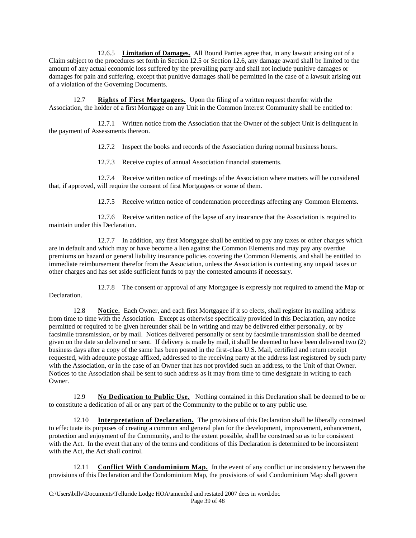12.6.5 **Limitation of Damages.** All Bound Parties agree that, in any lawsuit arising out of a Claim subject to the procedures set forth in Section 12.5 or Section 12.6, any damage award shall be limited to the amount of any actual economic loss suffered by the prevailing party and shall not include punitive damages or damages for pain and suffering, except that punitive damages shall be permitted in the case of a lawsuit arising out of a violation of the Governing Documents.

12.7 **Rights of First Mortgagees.** Upon the filing of a written request therefor with the Association, the holder of a first Mortgage on any Unit in the Common Interest Community shall be entitled to:

12.7.1 Written notice from the Association that the Owner of the subject Unit is delinquent in the payment of Assessments thereon.

12.7.2 Inspect the books and records of the Association during normal business hours.

12.7.3 Receive copies of annual Association financial statements.

12.7.4 Receive written notice of meetings of the Association where matters will be considered that, if approved, will require the consent of first Mortgagees or some of them.

12.7.5 Receive written notice of condemnation proceedings affecting any Common Elements.

12.7.6 Receive written notice of the lapse of any insurance that the Association is required to maintain under this Declaration.

12.7.7 In addition, any first Mortgagee shall be entitled to pay any taxes or other charges which are in default and which may or have become a lien against the Common Elements and may pay any overdue premiums on hazard or general liability insurance policies covering the Common Elements, and shall be entitled to immediate reimbursement therefor from the Association, unless the Association is contesting any unpaid taxes or other charges and has set aside sufficient funds to pay the contested amounts if necessary.

12.7.8 The consent or approval of any Mortgagee is expressly not required to amend the Map or Declaration.

12.8 **Notice.** Each Owner, and each first Mortgagee if it so elects, shall register its mailing address from time to time with the Association. Except as otherwise specifically provided in this Declaration, any notice permitted or required to be given hereunder shall be in writing and may be delivered either personally, or by facsimile transmission, or by mail. Notices delivered personally or sent by facsimile transmission shall be deemed given on the date so delivered or sent. If delivery is made by mail, it shall be deemed to have been delivered two (2) business days after a copy of the same has been posted in the first-class U.S. Mail, certified and return receipt requested, with adequate postage affixed, addressed to the receiving party at the address last registered by such party with the Association, or in the case of an Owner that has not provided such an address, to the Unit of that Owner. Notices to the Association shall be sent to such address as it may from time to time designate in writing to each Owner.

12.9 **No Dedication to Public Use.** Nothing contained in this Declaration shall be deemed to be or to constitute a dedication of all or any part of the Community to the public or to any public use.

12.10 **Interpretation of Declaration.** The provisions of this Declaration shall be liberally construed to effectuate its purposes of creating a common and general plan for the development, improvement, enhancement, protection and enjoyment of the Community, and to the extent possible, shall be construed so as to be consistent with the Act. In the event that any of the terms and conditions of this Declaration is determined to be inconsistent with the Act, the Act shall control.

12.11 **Conflict With Condominium Map.** In the event of any conflict or inconsistency between the provisions of this Declaration and the Condominium Map, the provisions of said Condominium Map shall govern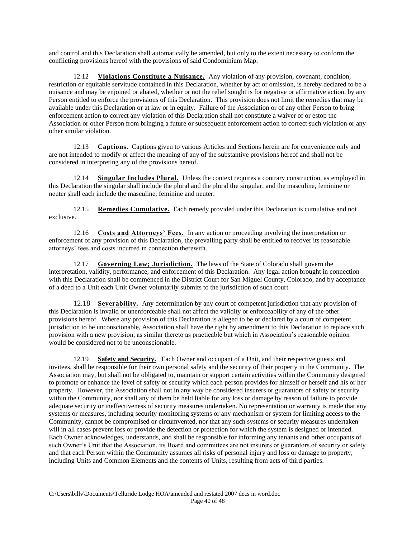and control and this Declaration shall automatically be amended, but only to the extent necessary to conform the conflicting provisions hereof with the provisions of said Condominium Map.

12.12 **Violations Constitute a Nuisance.** Any violation of any provision, covenant, condition, restriction or equitable servitude contained in this Declaration, whether by act or omission, is hereby declared to be a nuisance and may be enjoined or abated, whether or not the relief sought is for negative or affirmative action, by any Person entitled to enforce the provisions of this Declaration. This provision does not limit the remedies that may be available under this Declaration or at law or in equity. Failure of the Association or of any other Person to bring enforcement action to correct any violation of this Declaration shall not constitute a waiver of or estop the Association or other Person from bringing a future or subsequent enforcement action to correct such violation or any other similar violation.

12.13 **Captions.** Captions given to various Articles and Sections herein are for convenience only and are not intended to modify or affect the meaning of any of the substantive provisions hereof and shall not be considered in interpreting any of the provisions hereof.

12.14 **Singular Includes Plural.** Unless the context requires a contrary construction, as employed in this Declaration the singular shall include the plural and the plural the singular; and the masculine, feminine or neuter shall each include the masculine, feminine and neuter.

12.15 **Remedies Cumulative.** Each remedy provided under this Declaration is cumulative and not exclusive.

12.16 **Costs and Attorneys' Fees.** In any action or proceeding involving the interpretation or enforcement of any provision of this Declaration, the prevailing party shall be entitled to recover its reasonable attorneys' fees and costs incurred in connection therewith.

12.17 **Governing Law; Jurisdiction.** The laws of the State of Colorado shall govern the interpretation, validity, performance, and enforcement of this Declaration. Any legal action brought in connection with this Declaration shall be commenced in the District Court for San Miguel County, Colorado, and by acceptance of a deed to a Unit each Unit Owner voluntarily submits to the jurisdiction of such court.

12.18 **Severability.** Any determination by any court of competent jurisdiction that any provision of this Declaration is invalid or unenforceable shall not affect the validity or enforceability of any of the other provisions hereof. Where any provision of this Declaration is alleged to be or declared by a court of competent jurisdiction to be unconscionable, Association shall have the right by amendment to this Declaration to replace such provision with a new provision, as similar thereto as practicable but which in Association's reasonable opinion would be considered not to be unconscionable.

12.19 **Safety and Security.** Each Owner and occupant of a Unit, and their respective guests and invitees, shall be responsible for their own personal safety and the security of their property in the Community. The Association may, but shall not be obligated to, maintain or support certain activities within the Community designed to promote or enhance the level of safety or security which each person provides for himself or herself and his or her property. However, the Association shall not in any way be considered insurers or guarantors of safety or security within the Community, nor shall any of them be held liable for any loss or damage by reason of failure to provide adequate security or ineffectiveness of security measures undertaken. No representation or warranty is made that any systems or measures, including security monitoring systems or any mechanism or system for limiting access to the Community, cannot be compromised or circumvented, nor that any such systems or security measures undertaken will in all cases prevent loss or provide the detection or protection for which the system is designed or intended. Each Owner acknowledges, understands, and shall be responsible for informing any tenants and other occupants of such Owner's Unit that the Association, its Board and committees are not insurers or guarantors of security or safety and that each Person within the Community assumes all risks of personal injury and loss or damage to property, including Units and Common Elements and the contents of Units, resulting from acts of third parties.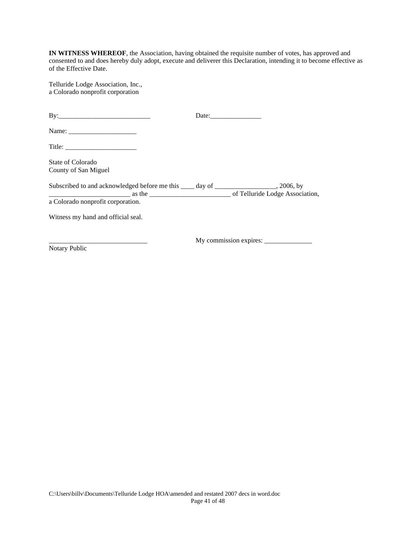**IN WITNESS WHEREOF**, the Association, having obtained the requisite number of votes, has approved and consented to and does hereby duly adopt, execute and deliverer this Declaration, intending it to become effective as of the Effective Date.

Telluride Lodge Association, Inc., a Colorado nonprofit corporation

| Title: $\frac{1}{\sqrt{1-\frac{1}{2}} \cdot \frac{1}{2} \cdot \frac{1}{2} \cdot \frac{1}{2} \cdot \frac{1}{2} \cdot \frac{1}{2} \cdot \frac{1}{2} \cdot \frac{1}{2} \cdot \frac{1}{2} \cdot \frac{1}{2} \cdot \frac{1}{2} \cdot \frac{1}{2} \cdot \frac{1}{2} \cdot \frac{1}{2} \cdot \frac{1}{2} \cdot \frac{1}{2} \cdot \frac{1}{2} \cdot \frac{1}{2} \cdot \frac{1}{2} \cdot \frac{1}{2} \cdot \frac{1}{2} \cdot \frac{1}{2} \cdot \frac{1}{2$ |  |
|---------------------------------------------------------------------------------------------------------------------------------------------------------------------------------------------------------------------------------------------------------------------------------------------------------------------------------------------------------------------------------------------------------------------------------------------------|--|
| State of Colorado<br>County of San Miguel                                                                                                                                                                                                                                                                                                                                                                                                         |  |
| Subscribed to and acknowledged before me this _____ day of _____________________, 2006, by<br>as the <u>entering of Telluride</u> Lodge Association,                                                                                                                                                                                                                                                                                              |  |
| a Colorado nonprofit corporation.                                                                                                                                                                                                                                                                                                                                                                                                                 |  |
| Witness my hand and official seal.                                                                                                                                                                                                                                                                                                                                                                                                                |  |
|                                                                                                                                                                                                                                                                                                                                                                                                                                                   |  |

Notary Public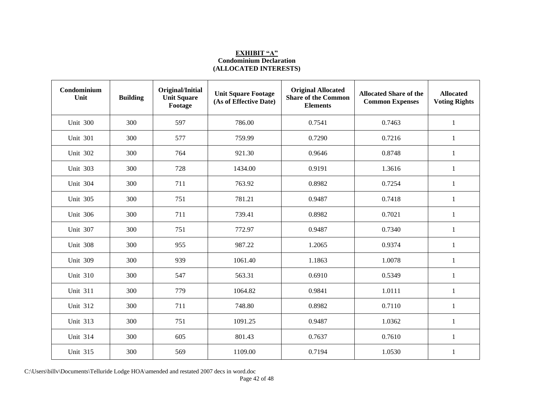# **EXHIBIT "A" Condominium Declaration (ALLOCATED INTERESTS)**

| Condominium<br>Unit | <b>Building</b> | Original/Initial<br><b>Unit Square</b><br>Footage | <b>Unit Square Footage</b><br>(As of Effective Date) | <b>Original Allocated</b><br><b>Share of the Common</b><br><b>Elements</b> | <b>Allocated Share of the</b><br><b>Common Expenses</b> | <b>Allocated</b><br><b>Voting Rights</b> |
|---------------------|-----------------|---------------------------------------------------|------------------------------------------------------|----------------------------------------------------------------------------|---------------------------------------------------------|------------------------------------------|
| <b>Unit 300</b>     | 300             | 597                                               | 786.00                                               | 0.7541                                                                     | 0.7463                                                  | $\mathbf{1}$                             |
| <b>Unit 301</b>     | 300             | 577                                               | 759.99                                               | 0.7290                                                                     | 0.7216                                                  | $\mathbf{1}$                             |
| <b>Unit 302</b>     | 300             | 764                                               | 921.30                                               | 0.9646                                                                     | 0.8748                                                  | 1                                        |
| Unit 303            | 300             | 728                                               | 1434.00                                              | 0.9191                                                                     | 1.3616                                                  | $\mathbf{1}$                             |
| <b>Unit 304</b>     | 300             | 711                                               | 763.92                                               | 0.8982                                                                     | 0.7254                                                  | 1                                        |
| Unit 305            | 300             | 751                                               | 781.21                                               | 0.9487                                                                     | 0.7418                                                  | $\mathbf{1}$                             |
| <b>Unit 306</b>     | 300             | 711                                               | 739.41                                               | 0.8982                                                                     | 0.7021                                                  | $\,1\,$                                  |
| Unit 307            | 300             | 751                                               | 772.97                                               | 0.9487                                                                     | 0.7340                                                  | $\mathbf{1}$                             |
| Unit 308            | 300             | 955                                               | 987.22                                               | 1.2065                                                                     | 0.9374                                                  | $\mathbf{1}$                             |
| <b>Unit 309</b>     | 300             | 939                                               | 1061.40                                              | 1.1863                                                                     | 1.0078                                                  | $\mathbf{1}$                             |
| <b>Unit 310</b>     | 300             | 547                                               | 563.31                                               | 0.6910                                                                     | 0.5349                                                  | 1                                        |
| <b>Unit 311</b>     | 300             | 779                                               | 1064.82                                              | 0.9841                                                                     | 1.0111                                                  | $\mathbf{1}$                             |
| <b>Unit 312</b>     | 300             | 711                                               | 748.80                                               | 0.8982                                                                     | 0.7110                                                  | $\mathbf{1}$                             |
| <b>Unit 313</b>     | 300             | 751                                               | 1091.25                                              | 0.9487                                                                     | 1.0362                                                  | 1                                        |
| <b>Unit 314</b>     | 300             | 605                                               | 801.43                                               | 0.7637                                                                     | 0.7610                                                  | 1                                        |
| <b>Unit 315</b>     | 300             | 569                                               | 1109.00                                              | 0.7194                                                                     | 1.0530                                                  | $\mathbf{1}$                             |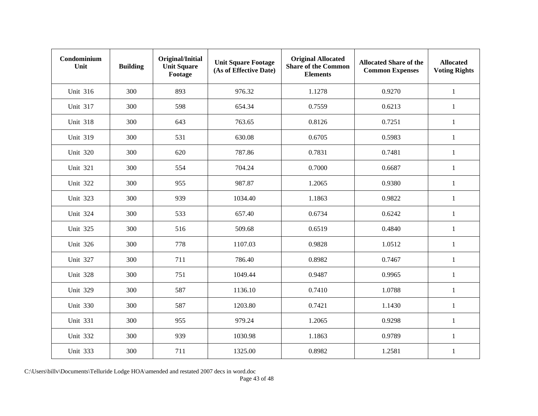| Condominium<br>Unit | <b>Building</b> | Original/Initial<br><b>Unit Square</b><br>Footage | <b>Unit Square Footage</b><br>(As of Effective Date) | <b>Original Allocated</b><br><b>Share of the Common</b><br><b>Elements</b> | <b>Allocated Share of the</b><br><b>Common Expenses</b> | <b>Allocated</b><br><b>Voting Rights</b> |
|---------------------|-----------------|---------------------------------------------------|------------------------------------------------------|----------------------------------------------------------------------------|---------------------------------------------------------|------------------------------------------|
| <b>Unit 316</b>     | 300             | 893                                               | 976.32                                               | 1.1278                                                                     | 0.9270                                                  | $\mathbf{1}$                             |
| Unit 317            | 300             | 598                                               | 654.34                                               | 0.7559                                                                     | 0.6213                                                  | $\mathbf{1}$                             |
| <b>Unit 318</b>     | 300             | 643                                               | 763.65                                               | 0.8126                                                                     | 0.7251                                                  | $\mathbf{1}$                             |
| <b>Unit 319</b>     | 300             | 531                                               | 630.08                                               | 0.6705                                                                     | 0.5983                                                  | 1                                        |
| <b>Unit 320</b>     | 300             | 620                                               | 787.86                                               | 0.7831                                                                     | 0.7481                                                  | $\mathbf{1}$                             |
| <b>Unit 321</b>     | 300             | 554                                               | 704.24                                               | 0.7000                                                                     | 0.6687                                                  | 1                                        |
| Unit 322            | 300             | 955                                               | 987.87                                               | 1.2065                                                                     | 0.9380                                                  | $\mathbf{1}$                             |
| <b>Unit 323</b>     | 300             | 939                                               | 1034.40                                              | 1.1863                                                                     | 0.9822                                                  | $\mathbf{1}$                             |
| <b>Unit 324</b>     | 300             | 533                                               | 657.40                                               | 0.6734                                                                     | 0.6242                                                  | $\mathbf{1}$                             |
| <b>Unit 325</b>     | 300             | 516                                               | 509.68                                               | 0.6519                                                                     | 0.4840                                                  | $\mathbf{1}$                             |
| <b>Unit 326</b>     | 300             | 778                                               | 1107.03                                              | 0.9828                                                                     | 1.0512                                                  | $\mathbf{1}$                             |
| Unit 327            | 300             | 711                                               | 786.40                                               | 0.8982                                                                     | 0.7467                                                  | $\mathbf{1}$                             |
| <b>Unit 328</b>     | 300             | 751                                               | 1049.44                                              | 0.9487                                                                     | 0.9965                                                  | 1                                        |
| <b>Unit 329</b>     | 300             | 587                                               | 1136.10                                              | 0.7410                                                                     | 1.0788                                                  | $\mathbf{1}$                             |
| <b>Unit 330</b>     | 300             | 587                                               | 1203.80                                              | 0.7421                                                                     | 1.1430                                                  | $\mathbf{1}$                             |
| <b>Unit 331</b>     | 300             | 955                                               | 979.24                                               | 1.2065                                                                     | 0.9298                                                  | $\mathbf{1}$                             |
| <b>Unit 332</b>     | 300             | 939                                               | 1030.98                                              | 1.1863                                                                     | 0.9789                                                  | 1                                        |
| <b>Unit 333</b>     | 300             | 711                                               | 1325.00                                              | 0.8982                                                                     | 1.2581                                                  | $\mathbf{1}$                             |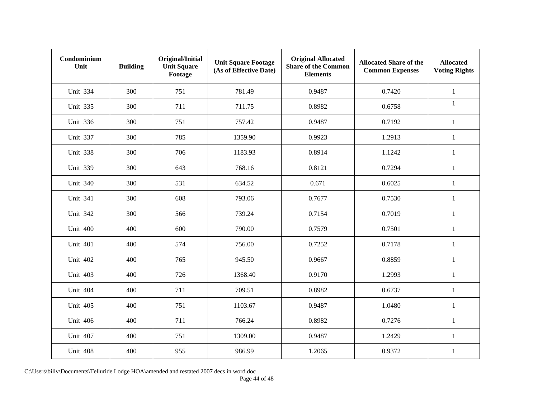| Condominium<br>Unit | <b>Building</b> | Original/Initial<br><b>Unit Square</b><br>Footage | <b>Unit Square Footage</b><br>(As of Effective Date) | <b>Original Allocated</b><br><b>Share of the Common</b><br><b>Elements</b> | <b>Allocated Share of the</b><br><b>Common Expenses</b> | <b>Allocated</b><br><b>Voting Rights</b> |
|---------------------|-----------------|---------------------------------------------------|------------------------------------------------------|----------------------------------------------------------------------------|---------------------------------------------------------|------------------------------------------|
| <b>Unit 334</b>     | 300             | 751                                               | 781.49                                               | 0.9487                                                                     | 0.7420                                                  | $\mathbf{1}$                             |
| <b>Unit 335</b>     | 300             | 711                                               | 711.75                                               | 0.8982                                                                     | 0.6758                                                  | $\mathbf{1}$                             |
| <b>Unit 336</b>     | 300             | 751                                               | 757.42                                               | 0.9487                                                                     | 0.7192                                                  | $\mathbf{1}$                             |
| Unit 337            | 300             | 785                                               | 1359.90                                              | 0.9923                                                                     | 1.2913                                                  | 1                                        |
| Unit 338            | 300             | 706                                               | 1183.93                                              | 0.8914                                                                     | 1.1242                                                  | $\mathbf{1}$                             |
| <b>Unit 339</b>     | 300             | 643                                               | 768.16                                               | 0.8121                                                                     | 0.7294                                                  | 1                                        |
| <b>Unit 340</b>     | 300             | 531                                               | 634.52                                               | 0.671                                                                      | 0.6025                                                  | $\mathbf{1}$                             |
| <b>Unit 341</b>     | 300             | 608                                               | 793.06                                               | 0.7677                                                                     | 0.7530                                                  | $\mathbf{1}$                             |
| <b>Unit 342</b>     | 300             | 566                                               | 739.24                                               | 0.7154                                                                     | 0.7019                                                  | $\mathbf{1}$                             |
| <b>Unit 400</b>     | 400             | 600                                               | 790.00                                               | 0.7579                                                                     | 0.7501                                                  | $\mathbf{1}$                             |
| Unit 401            | 400             | 574                                               | 756.00                                               | 0.7252                                                                     | 0.7178                                                  | $\mathbf{1}$                             |
| <b>Unit 402</b>     | 400             | 765                                               | 945.50                                               | 0.9667                                                                     | 0.8859                                                  | $\mathbf{1}$                             |
| <b>Unit 403</b>     | 400             | 726                                               | 1368.40                                              | 0.9170                                                                     | 1.2993                                                  | 1                                        |
| <b>Unit 404</b>     | 400             | 711                                               | 709.51                                               | 0.8982                                                                     | 0.6737                                                  | $\mathbf{1}$                             |
| Unit 405            | 400             | 751                                               | 1103.67                                              | 0.9487                                                                     | 1.0480                                                  | $\mathbf{1}$                             |
| <b>Unit 406</b>     | 400             | 711                                               | 766.24                                               | 0.8982                                                                     | 0.7276                                                  | $\mathbf{1}$                             |
| <b>Unit 407</b>     | 400             | 751                                               | 1309.00                                              | 0.9487                                                                     | 1.2429                                                  | 1                                        |
| Unit 408            | 400             | 955                                               | 986.99                                               | 1.2065                                                                     | 0.9372                                                  | $\mathbf{1}$                             |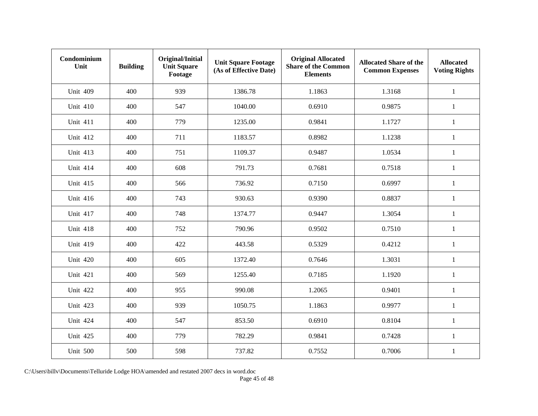| Condominium<br>Unit | <b>Building</b> | Original/Initial<br><b>Unit Square</b><br>Footage | <b>Unit Square Footage</b><br>(As of Effective Date) | <b>Original Allocated</b><br><b>Share of the Common</b><br><b>Elements</b> | <b>Allocated Share of the</b><br><b>Common Expenses</b> | <b>Allocated</b><br><b>Voting Rights</b> |
|---------------------|-----------------|---------------------------------------------------|------------------------------------------------------|----------------------------------------------------------------------------|---------------------------------------------------------|------------------------------------------|
| <b>Unit 409</b>     | 400             | 939                                               | 1386.78                                              | 1.1863                                                                     | 1.3168                                                  | $\mathbf{1}$                             |
| <b>Unit 410</b>     | 400             | 547                                               | 1040.00                                              | 0.6910                                                                     | 0.9875                                                  | $\mathbf{1}$                             |
| <b>Unit 411</b>     | 400             | 779                                               | 1235.00                                              | 0.9841                                                                     | 1.1727                                                  | $\mathbf{1}$                             |
| <b>Unit 412</b>     | 400             | 711                                               | 1183.57                                              | 0.8982                                                                     | 1.1238                                                  | 1                                        |
| <b>Unit 413</b>     | 400             | 751                                               | 1109.37                                              | 0.9487                                                                     | 1.0534                                                  | $\mathbf{1}$                             |
| <b>Unit 414</b>     | 400             | 608                                               | 791.73                                               | 0.7681                                                                     | 0.7518                                                  | $\mathbf{1}$                             |
| <b>Unit 415</b>     | 400             | 566                                               | 736.92                                               | 0.7150                                                                     | 0.6997                                                  | $\mathbf{1}$                             |
| <b>Unit 416</b>     | 400             | 743                                               | 930.63                                               | 0.9390                                                                     | 0.8837                                                  | $\mathbf{1}$                             |
| <b>Unit 417</b>     | 400             | 748                                               | 1374.77                                              | 0.9447                                                                     | 1.3054                                                  | $\mathbf{1}$                             |
| <b>Unit 418</b>     | 400             | 752                                               | 790.96                                               | 0.9502                                                                     | 0.7510                                                  | $\mathbf{1}$                             |
| <b>Unit 419</b>     | 400             | 422                                               | 443.58                                               | 0.5329                                                                     | 0.4212                                                  | $\mathbf{1}$                             |
| <b>Unit 420</b>     | 400             | 605                                               | 1372.40                                              | 0.7646                                                                     | 1.3031                                                  | $\mathbf{1}$                             |
| <b>Unit 421</b>     | 400             | 569                                               | 1255.40                                              | 0.7185                                                                     | 1.1920                                                  | 1                                        |
| <b>Unit 422</b>     | 400             | 955                                               | 990.08                                               | 1.2065                                                                     | 0.9401                                                  | $\mathbf{1}$                             |
| <b>Unit 423</b>     | 400             | 939                                               | 1050.75                                              | 1.1863                                                                     | 0.9977                                                  | $\mathbf{1}$                             |
| <b>Unit 424</b>     | 400             | 547                                               | 853.50                                               | 0.6910                                                                     | 0.8104                                                  | $\mathbf{1}$                             |
| Unit 425            | 400             | 779                                               | 782.29                                               | 0.9841                                                                     | 0.7428                                                  | 1                                        |
| Unit 500            | 500             | 598                                               | 737.82                                               | 0.7552                                                                     | 0.7006                                                  | $\mathbf{1}$                             |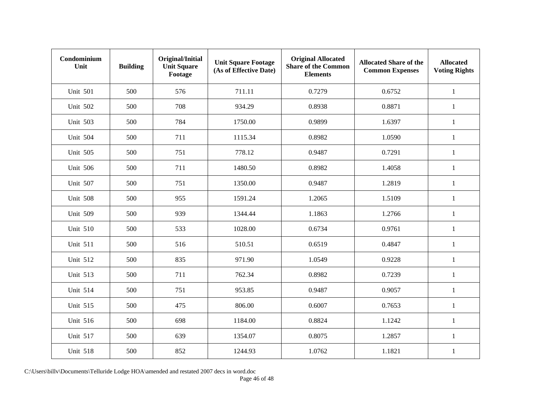| Condominium<br>Unit | <b>Building</b> | Original/Initial<br><b>Unit Square</b><br>Footage | <b>Unit Square Footage</b><br>(As of Effective Date) | <b>Original Allocated</b><br><b>Share of the Common</b><br><b>Elements</b> | <b>Allocated Share of the</b><br><b>Common Expenses</b> | <b>Allocated</b><br><b>Voting Rights</b> |
|---------------------|-----------------|---------------------------------------------------|------------------------------------------------------|----------------------------------------------------------------------------|---------------------------------------------------------|------------------------------------------|
| <b>Unit 501</b>     | 500             | 576                                               | 711.11                                               | 0.7279                                                                     | 0.6752                                                  | $\mathbf{1}$                             |
| <b>Unit 502</b>     | 500             | 708                                               | 934.29                                               | 0.8938                                                                     | 0.8871                                                  | $\mathbf{1}$                             |
| Unit 503            | 500             | 784                                               | 1750.00                                              | 0.9899                                                                     | 1.6397                                                  | $\mathbf{1}$                             |
| <b>Unit 504</b>     | 500             | 711                                               | 1115.34                                              | 0.8982                                                                     | 1.0590                                                  | 1                                        |
| Unit 505            | 500             | 751                                               | 778.12                                               | 0.9487                                                                     | 0.7291                                                  | $\mathbf{1}$                             |
| <b>Unit 506</b>     | 500             | 711                                               | 1480.50                                              | 0.8982                                                                     | 1.4058                                                  | $\mathbf{1}$                             |
| Unit 507            | 500             | 751                                               | 1350.00                                              | 0.9487                                                                     | 1.2819                                                  | $\mathbf{1}$                             |
| Unit 508            | 500             | 955                                               | 1591.24                                              | 1.2065                                                                     | 1.5109                                                  | $\mathbf{1}$                             |
| <b>Unit 509</b>     | 500             | 939                                               | 1344.44                                              | 1.1863                                                                     | 1.2766                                                  | $\mathbf{1}$                             |
| <b>Unit 510</b>     | 500             | 533                                               | 1028.00                                              | 0.6734                                                                     | 0.9761                                                  | $\mathbf{1}$                             |
| <b>Unit 511</b>     | 500             | 516                                               | 510.51                                               | 0.6519                                                                     | 0.4847                                                  | $\mathbf{1}$                             |
| <b>Unit 512</b>     | 500             | 835                                               | 971.90                                               | 1.0549                                                                     | 0.9228                                                  | $\mathbf{1}$                             |
| <b>Unit 513</b>     | 500             | 711                                               | 762.34                                               | 0.8982                                                                     | 0.7239                                                  | 1                                        |
| <b>Unit 514</b>     | 500             | 751                                               | 953.85                                               | 0.9487                                                                     | 0.9057                                                  | $\mathbf{1}$                             |
| <b>Unit 515</b>     | 500             | 475                                               | 806.00                                               | 0.6007                                                                     | 0.7653                                                  | $\mathbf{1}$                             |
| <b>Unit 516</b>     | 500             | 698                                               | 1184.00                                              | 0.8824                                                                     | 1.1242                                                  | $\mathbf{1}$                             |
| <b>Unit 517</b>     | 500             | 639                                               | 1354.07                                              | 0.8075                                                                     | 1.2857                                                  | 1                                        |
| <b>Unit 518</b>     | 500             | 852                                               | 1244.93                                              | 1.0762                                                                     | 1.1821                                                  | $\mathbf{1}$                             |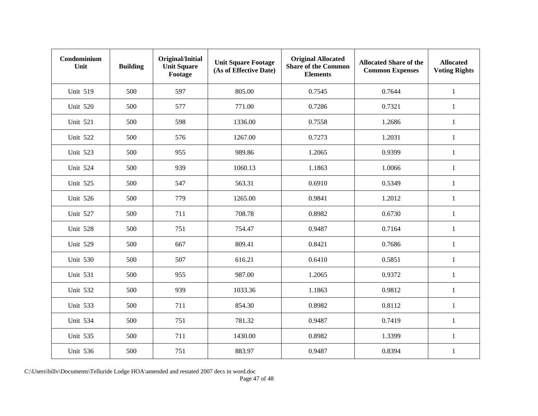| Condominium<br>Unit | <b>Building</b> | Original/Initial<br><b>Unit Square</b><br>Footage | <b>Unit Square Footage</b><br>(As of Effective Date) | <b>Original Allocated</b><br><b>Share of the Common</b><br><b>Elements</b> | <b>Allocated Share of the</b><br><b>Common Expenses</b> | <b>Allocated</b><br><b>Voting Rights</b> |
|---------------------|-----------------|---------------------------------------------------|------------------------------------------------------|----------------------------------------------------------------------------|---------------------------------------------------------|------------------------------------------|
| <b>Unit 519</b>     | 500             | 597                                               | 805.00                                               | 0.7545                                                                     | 0.7644                                                  | $\mathbf{1}$                             |
| Unit 520            | 500             | 577                                               | 771.00                                               | 0.7286                                                                     | 0.7321                                                  | $\mathbf{1}$                             |
| Unit 521            | 500             | 598                                               | 1336.00                                              | 0.7558                                                                     | 1.2686                                                  | $\mathbf{1}$                             |
| <b>Unit 522</b>     | 500             | 576                                               | 1267.00                                              | 0.7273                                                                     | 1.2031                                                  | 1                                        |
| <b>Unit 523</b>     | 500             | 955                                               | 989.86                                               | 1.2065                                                                     | 0.9399                                                  | $\mathbf{1}$                             |
| <b>Unit 524</b>     | 500             | 939                                               | 1060.13                                              | 1.1863                                                                     | 1.0066                                                  | 1                                        |
| <b>Unit 525</b>     | 500             | 547                                               | 563.31                                               | 0.6910                                                                     | 0.5349                                                  | $\mathbf{1}$                             |
| <b>Unit 526</b>     | 500             | 779                                               | 1265.00                                              | 0.9841                                                                     | 1.2012                                                  | $\mathbf{1}$                             |
| Unit 527            | 500             | 711                                               | 708.78                                               | 0.8982                                                                     | 0.6730                                                  | $\mathbf{1}$                             |
| Unit 528            | 500             | 751                                               | 754.47                                               | 0.9487                                                                     | 0.7164                                                  | 1                                        |
| Unit 529            | 500             | 667                                               | 809.41                                               | 0.8421                                                                     | 0.7686                                                  | $\mathbf{1}$                             |
| <b>Unit 530</b>     | 500             | 507                                               | 616.21                                               | 0.6410                                                                     | 0.5851                                                  | $\mathbf{1}$                             |
| Unit 531            | 500             | 955                                               | 987.00                                               | 1.2065                                                                     | 0.9372                                                  | 1                                        |
| <b>Unit 532</b>     | 500             | 939                                               | 1033.36                                              | 1.1863                                                                     | 0.9812                                                  | $\mathbf{1}$                             |
| <b>Unit 533</b>     | 500             | 711                                               | 854.30                                               | 0.8982                                                                     | 0.8112                                                  | $\mathbf{1}$                             |
| <b>Unit 534</b>     | 500             | 751                                               | 781.32                                               | 0.9487                                                                     | 0.7419                                                  | $\mathbf{1}$                             |
| <b>Unit 535</b>     | 500             | 711                                               | 1430.00                                              | 0.8982                                                                     | 1.3399                                                  | $\mathbf{1}$                             |
| <b>Unit 536</b>     | 500             | 751                                               | 883.97                                               | 0.9487                                                                     | 0.8394                                                  | $\mathbf{1}$                             |